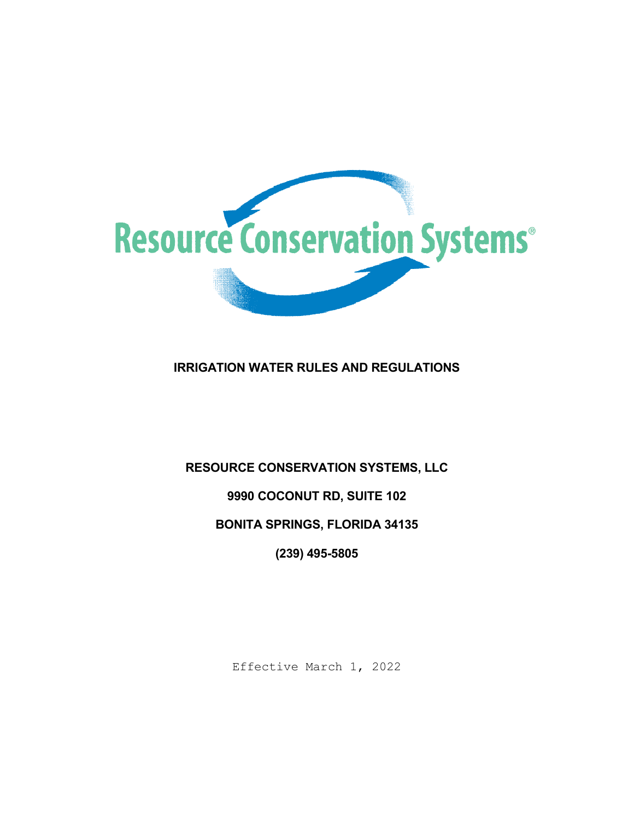

# **IRRIGATION WATER RULES AND REGULATIONS**

## **RESOURCE CONSERVATION SYSTEMS, LLC**

## **9990 COCONUT RD, SUITE 102**

## **BONITA SPRINGS, FLORIDA 34135**

**(239) 495-5805**

Effective March 1, 2022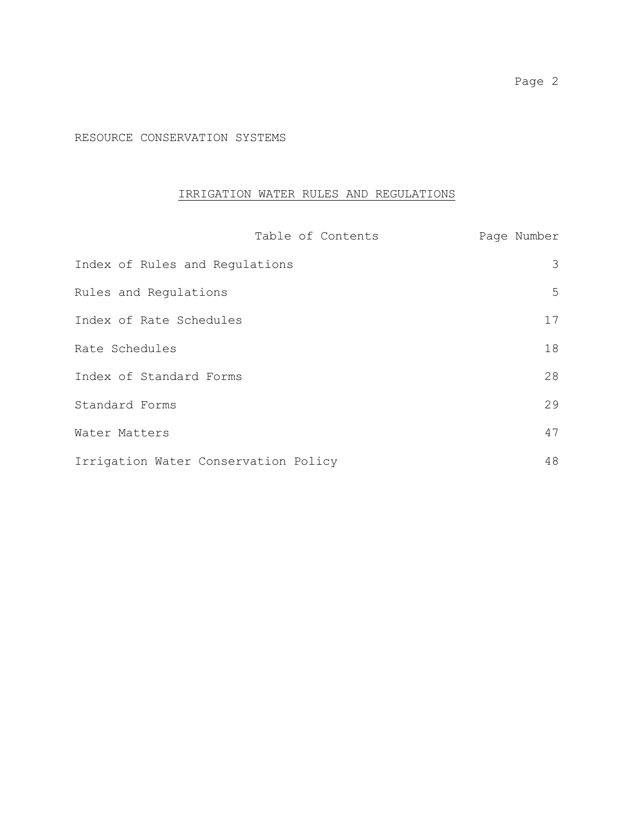RESOURCE CONSERVATION SYSTEMS

## IRRIGATION WATER RULES AND REGULATIONS

| Table of Contents                    | Page Number |
|--------------------------------------|-------------|
| Index of Rules and Regulations       | 3           |
| Rules and Regulations                | 5           |
| Index of Rate Schedules              | 17          |
| Rate Schedules                       | 18          |
| Index of Standard Forms              | 28          |
| Standard Forms                       | 29          |
| Water Matters                        | 47          |
| Irrigation Water Conservation Policy | 48          |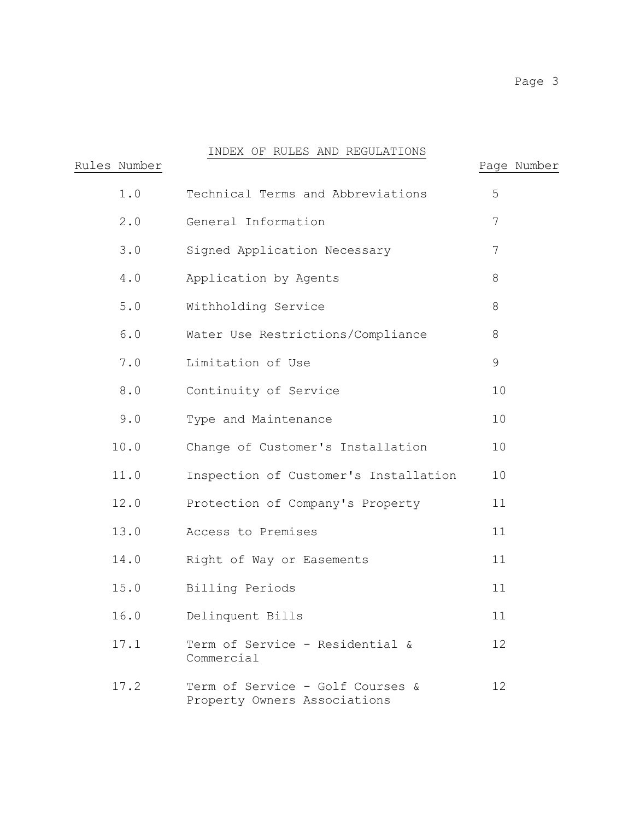# INDEX OF RULES AND REGULATIONS

| Rules Number | INDIA OF ROLLO AND RECOMMITIONS                                  | Page Number |
|--------------|------------------------------------------------------------------|-------------|
| 1.0          | Technical Terms and Abbreviations                                | 5           |
| 2.0          | General Information                                              | 7           |
| 3.0          | Signed Application Necessary                                     | 7           |
| 4.0          | Application by Agents                                            | 8           |
| $5.0$        | Withholding Service                                              | 8           |
| 6.0          | Water Use Restrictions/Compliance                                | 8           |
| 7.0          | Limitation of Use                                                | 9           |
| 8.0          | Continuity of Service                                            | 10          |
| 9.0          | Type and Maintenance                                             | 10          |
| 10.0         | Change of Customer's Installation                                | 10          |
| 11.0         | Inspection of Customer's Installation                            | 10          |
| 12.0         | Protection of Company's Property                                 | 11          |
| 13.0         | Access to Premises                                               | 11          |
| 14.0         | Right of Way or Easements                                        | 11          |
| 15.0         | Billing Periods                                                  | 11          |
| 16.0         | Delinquent Bills                                                 | 11          |
| 17.1         | Term of Service - Residential &<br>Commercial                    | 12          |
| 17.2         | Term of Service - Golf Courses &<br>Property Owners Associations | 12          |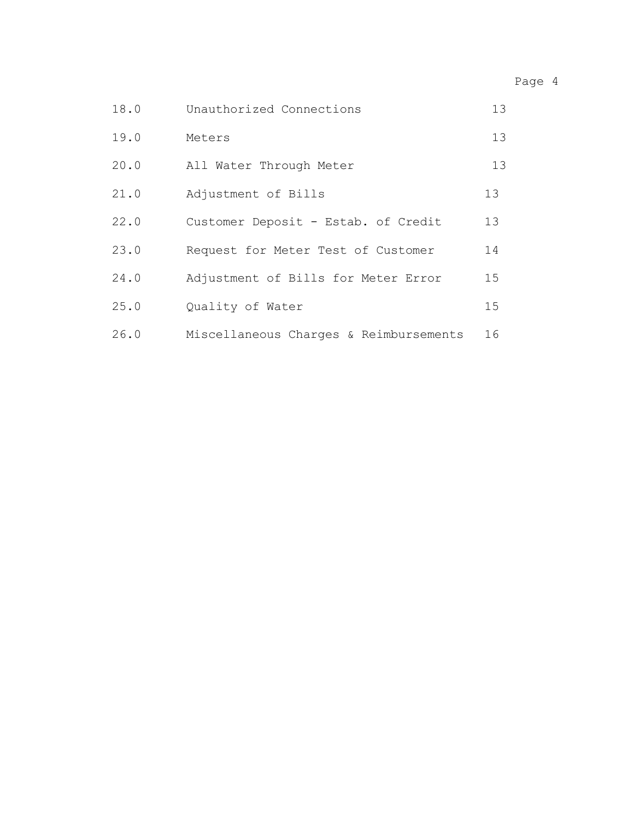# Page 4

| 18.0 | Unauthorized Connections               | 13 |
|------|----------------------------------------|----|
| 19.0 | Meters                                 | 13 |
| 20.0 | All Water Through Meter                | 13 |
| 21.0 | Adjustment of Bills                    | 13 |
| 22.0 | Customer Deposit - Estab. of Credit    | 13 |
| 23.0 | Request for Meter Test of Customer     | 14 |
| 24.0 | Adjustment of Bills for Meter Error    | 15 |
| 25.0 | Quality of Water                       | 15 |
| 26.0 | Miscellaneous Charges & Reimbursements | 16 |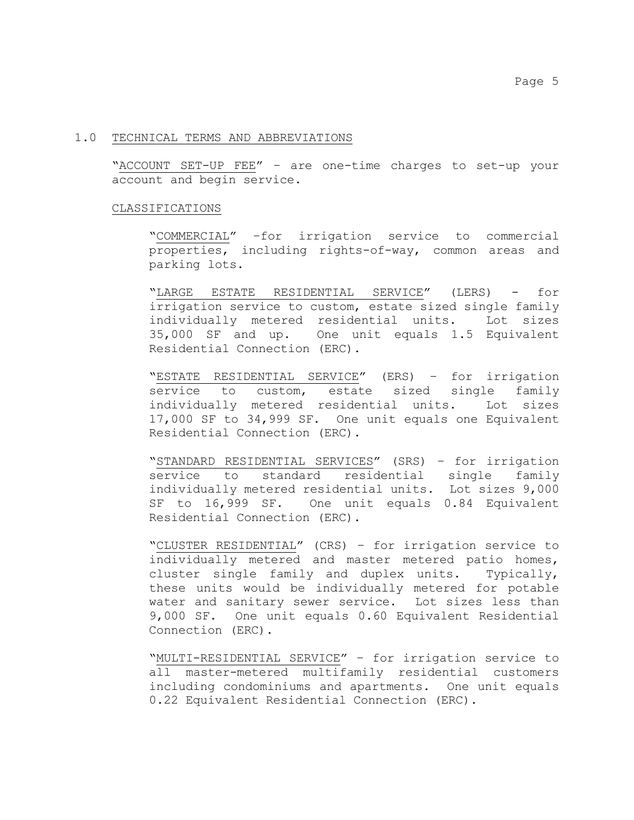### 1.0 TECHNICAL TERMS AND ABBREVIATIONS

"ACCOUNT SET-UP FEE" – are one-time charges to set-up your account and begin service.

### CLASSIFICATIONS

"COMMERCIAL" –for irrigation service to commercial properties, including rights-of-way, common areas and parking lots.

"LARGE ESTATE RESIDENTIAL SERVICE" (LERS) - for irrigation service to custom, estate sized single family individually metered residential units. Lot sizes 35,000 SF and up. One unit equals 1.5 Equivalent Residential Connection (ERC).

"ESTATE RESIDENTIAL SERVICE" (ERS) – for irrigation service to custom, estate sized single family individually metered residential units. Lot sizes 17,000 SF to 34,999 SF. One unit equals one Equivalent Residential Connection (ERC).

"STANDARD RESIDENTIAL SERVICES" (SRS) – for irrigation service to standard residential single family individually metered residential units. Lot sizes 9,000 SF to 16,999 SF. One unit equals 0.84 Equivalent Residential Connection (ERC).

"CLUSTER RESIDENTIAL" (CRS) – for irrigation service to individually metered and master metered patio homes, cluster single family and duplex units. Typically, these units would be individually metered for potable water and sanitary sewer service. Lot sizes less than 9,000 SF. One unit equals 0.60 Equivalent Residential Connection (ERC).

"MULTI-RESIDENTIAL SERVICE" – for irrigation service to all master-metered multifamily residential customers including condominiums and apartments. One unit equals 0.22 Equivalent Residential Connection (ERC).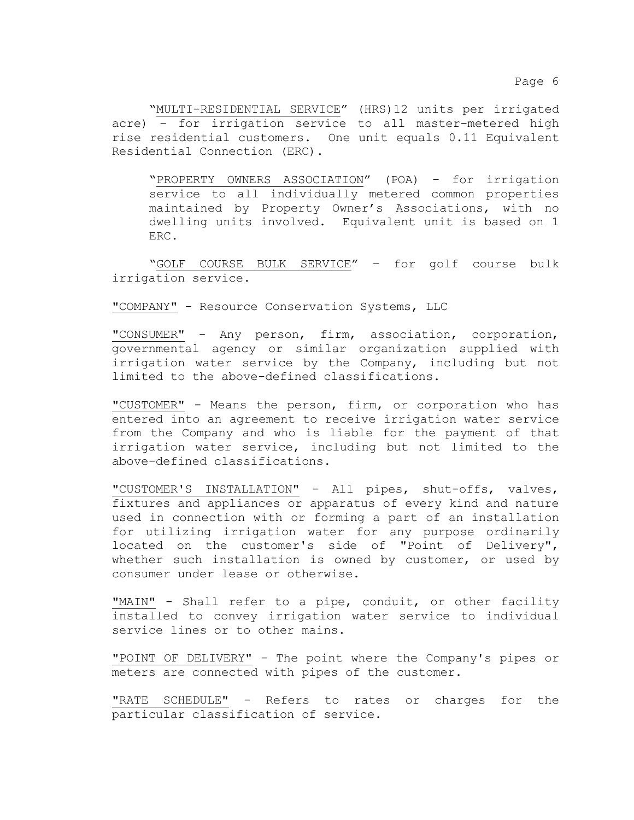"MULTI-RESIDENTIAL SERVICE" (HRS)12 units per irrigated acre) – for irrigation service to all master-metered high rise residential customers. One unit equals 0.11 Equivalent Residential Connection (ERC).

"PROPERTY OWNERS ASSOCIATION" (POA) – for irrigation service to all individually metered common properties maintained by Property Owner's Associations, with no dwelling units involved. Equivalent unit is based on 1 ERC.

"GOLF COURSE BULK SERVICE" – for golf course bulk irrigation service.

"COMPANY" - Resource Conservation Systems, LLC

"CONSUMER" - Any person, firm, association, corporation, governmental agency or similar organization supplied with irrigation water service by the Company, including but not limited to the above-defined classifications.

"CUSTOMER" - Means the person, firm, or corporation who has entered into an agreement to receive irrigation water service from the Company and who is liable for the payment of that irrigation water service, including but not limited to the above-defined classifications.

"CUSTOMER'S INSTALLATION" - All pipes, shut-offs, valves, fixtures and appliances or apparatus of every kind and nature used in connection with or forming a part of an installation for utilizing irrigation water for any purpose ordinarily located on the customer's side of "Point of Delivery", whether such installation is owned by customer, or used by consumer under lease or otherwise.

"MAIN" - Shall refer to a pipe, conduit, or other facility installed to convey irrigation water service to individual service lines or to other mains.

"POINT OF DELIVERY" - The point where the Company's pipes or meters are connected with pipes of the customer.

"RATE SCHEDULE" - Refers to rates or charges for the particular classification of service.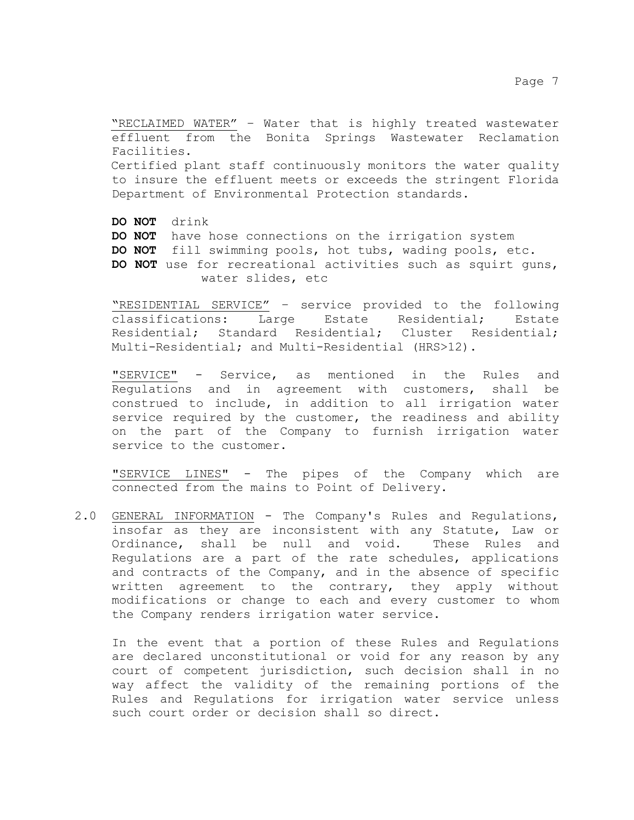"RECLAIMED WATER" – Water that is highly treated wastewater effluent from the Bonita Springs Wastewater Reclamation Facilities. Certified plant staff continuously monitors the water quality to insure the effluent meets or exceeds the stringent Florida Department of Environmental Protection standards.

**DO NOT** drink **DO NOT** have hose connections on the irrigation system **DO NOT** fill swimming pools, hot tubs, wading pools, etc. **DO NOT** use for recreational activities such as squirt guns, water slides, etc

"RESIDENTIAL SERVICE" – service provided to the following classifications: Residential; Standard Residential; Cluster Residential; Multi-Residential; and Multi-Residential (HRS>12).

"SERVICE" - Service, as mentioned in the Rules and Regulations and in agreement with customers, shall be construed to include, in addition to all irrigation water service required by the customer, the readiness and ability on the part of the Company to furnish irrigation water service to the customer.

"SERVICE LINES" - The pipes of the Company which are connected from the mains to Point of Delivery.

2.0 GENERAL INFORMATION - The Company's Rules and Regulations, insofar as they are inconsistent with any Statute, Law or<br>Ordinance, shall be null and void. These Rules and Ordinance, shall be null and void. Regulations are a part of the rate schedules, applications and contracts of the Company, and in the absence of specific written agreement to the contrary, they apply without modifications or change to each and every customer to whom the Company renders irrigation water service.

In the event that a portion of these Rules and Regulations are declared unconstitutional or void for any reason by any court of competent jurisdiction, such decision shall in no way affect the validity of the remaining portions of the Rules and Regulations for irrigation water service unless such court order or decision shall so direct.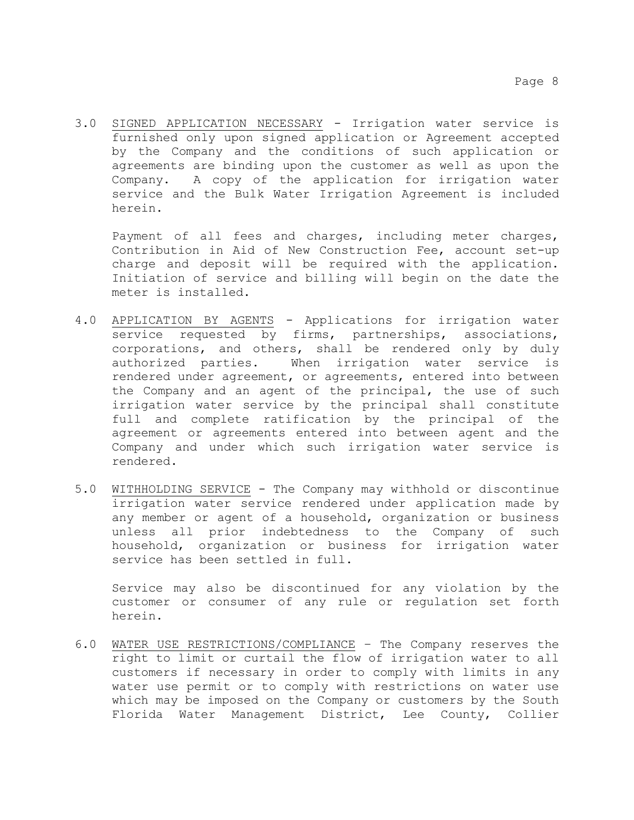3.0 SIGNED APPLICATION NECESSARY - Irrigation water service is furnished only upon signed application or Agreement accepted by the Company and the conditions of such application or agreements are binding upon the customer as well as upon the Company. A copy of the application for irrigation water service and the Bulk Water Irrigation Agreement is included herein.

Payment of all fees and charges, including meter charges, Contribution in Aid of New Construction Fee, account set-up charge and deposit will be required with the application. Initiation of service and billing will begin on the date the meter is installed.

- 4.0 APPLICATION BY AGENTS Applications for irrigation water service requested by firms, partnerships, associations, corporations, and others, shall be rendered only by duly authorized parties. When irrigation water service is rendered under agreement, or agreements, entered into between the Company and an agent of the principal, the use of such irrigation water service by the principal shall constitute full and complete ratification by the principal of the agreement or agreements entered into between agent and the Company and under which such irrigation water service is rendered.
- 5.0 WITHHOLDING SERVICE The Company may withhold or discontinue irrigation water service rendered under application made by any member or agent of a household, organization or business unless all prior indebtedness to the Company of such household, organization or business for irrigation water service has been settled in full.

Service may also be discontinued for any violation by the customer or consumer of any rule or regulation set forth herein.

6.0 WATER USE RESTRICTIONS/COMPLIANCE – The Company reserves the right to limit or curtail the flow of irrigation water to all customers if necessary in order to comply with limits in any water use permit or to comply with restrictions on water use which may be imposed on the Company or customers by the South Florida Water Management District, Lee County, Collier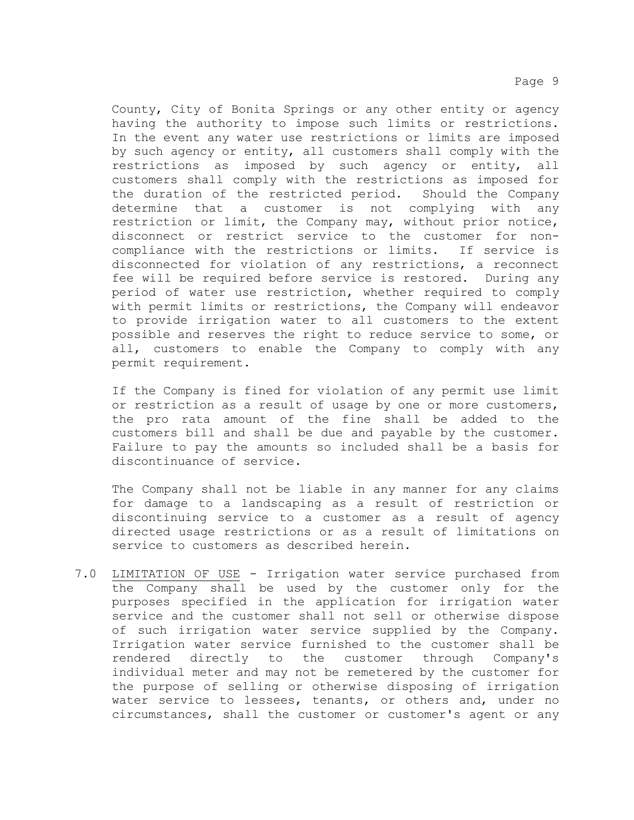County, City of Bonita Springs or any other entity or agency having the authority to impose such limits or restrictions. In the event any water use restrictions or limits are imposed by such agency or entity, all customers shall comply with the restrictions as imposed by such agency or entity, all restrictions as imposed by such agency or entity, customers shall comply with the restrictions as imposed for the duration of the restricted period. Should the Company determine that a customer is not complying with any restriction or limit, the Company may, without prior notice, disconnect or restrict service to the customer for non-<br>compliance with the restrictions or limits. If service is compliance with the restrictions or limits. disconnected for violation of any restrictions, a reconnect fee will be required before service is restored. During any period of water use restriction, whether required to comply with permit limits or restrictions, the Company will endeavor to provide irrigation water to all customers to the extent possible and reserves the right to reduce service to some, or all, customers to enable the Company to comply with any permit requirement.

If the Company is fined for violation of any permit use limit or restriction as a result of usage by one or more customers, the pro rata amount of the fine shall be added to the customers bill and shall be due and payable by the customer. Failure to pay the amounts so included shall be a basis for discontinuance of service.

The Company shall not be liable in any manner for any claims for damage to a landscaping as a result of restriction or discontinuing service to a customer as a result of agency directed usage restrictions or as a result of limitations on service to customers as described herein.

7.0 LIMITATION OF USE - Irrigation water service purchased from the Company shall be used by the customer only for the purposes specified in the application for irrigation water service and the customer shall not sell or otherwise dispose of such irrigation water service supplied by the Company. Irrigation water service furnished to the customer shall be rendered directly to the customer through Company's individual meter and may not be remetered by the customer for the purpose of selling or otherwise disposing of irrigation water service to lessees, tenants, or others and, under no circumstances, shall the customer or customer's agent or any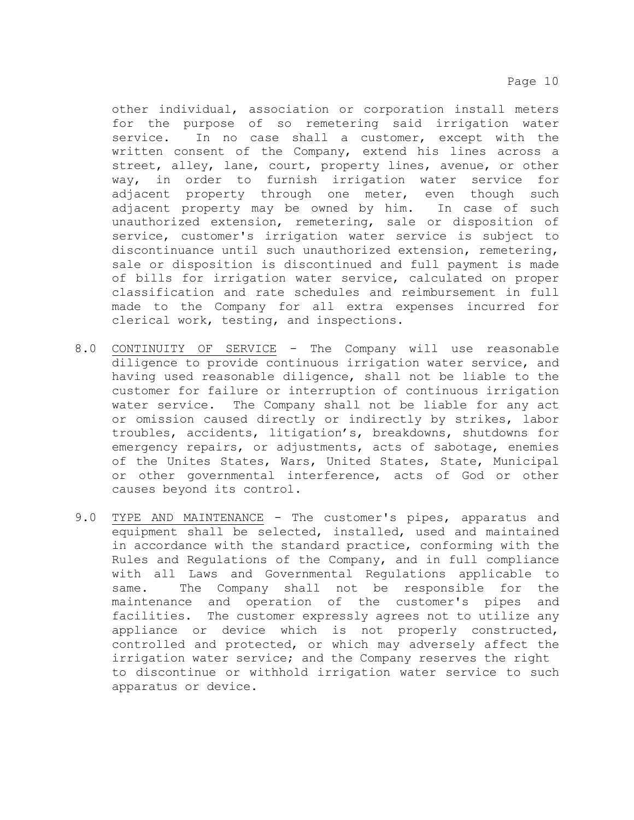other individual, association or corporation install meters for the purpose of so remetering said irrigation water<br>service. In no case shall a customer, except with the In no case shall a customer, except with the written consent of the Company, extend his lines across a street, alley, lane, court, property lines, avenue, or other way, in order to furnish irrigation water service for adjacent property through one meter, even though such<br>adjacent property may be owned by him. In case of such adjacent property may be owned by him. unauthorized extension, remetering, sale or disposition of service, customer's irrigation water service is subject to discontinuance until such unauthorized extension, remetering, sale or disposition is discontinued and full payment is made of bills for irrigation water service, calculated on proper classification and rate schedules and reimbursement in full made to the Company for all extra expenses incurred for clerical work, testing, and inspections.

- 8.0 CONTINUITY OF SERVICE The Company will use reasonable diligence to provide continuous irrigation water service, and having used reasonable diligence, shall not be liable to the customer for failure or interruption of continuous irrigation water service. The Company shall not be liable for any act or omission caused directly or indirectly by strikes, labor troubles, accidents, litigation's, breakdowns, shutdowns for emergency repairs, or adjustments, acts of sabotage, enemies of the Unites States, Wars, United States, State, Municipal or other governmental interference, acts of God or other causes beyond its control.
- 9.0 TYPE AND MAINTENANCE The customer's pipes, apparatus and equipment shall be selected, installed, used and maintained in accordance with the standard practice, conforming with the Rules and Regulations of the Company, and in full compliance with all Laws and Governmental Regulations applicable to same. The Company shall not be responsible for the maintenance and operation of the customer's pipes and facilities. The customer expressly agrees not to utilize any appliance or device which is not properly constructed, controlled and protected, or which may adversely affect the irrigation water service; and the Company reserves the right to discontinue or withhold irrigation water service to such apparatus or device.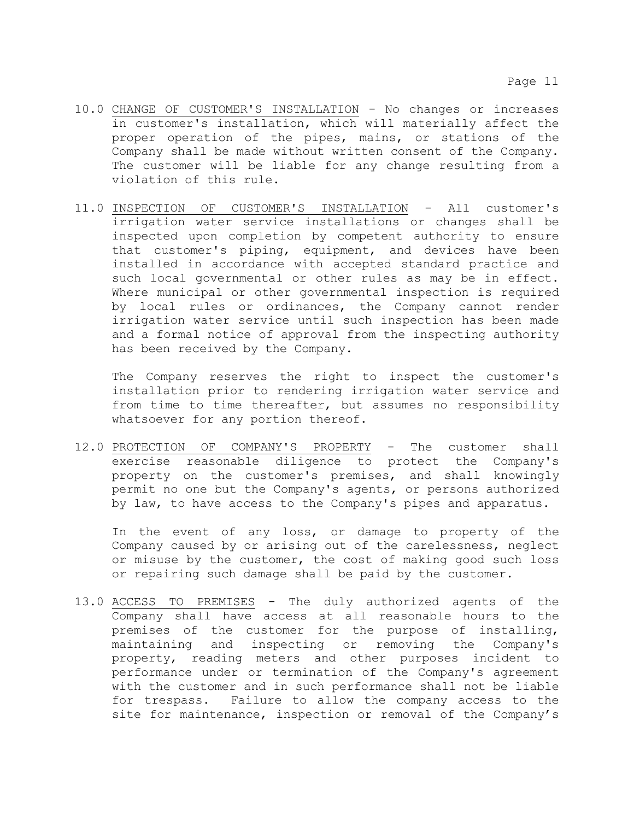- 10.0 CHANGE OF CUSTOMER'S INSTALLATION No changes or increases in customer's installation, which will materially affect the proper operation of the pipes, mains, or stations of the Company shall be made without written consent of the Company. The customer will be liable for any change resulting from a violation of this rule.
- 11.0 INSPECTION OF CUSTOMER'S INSTALLATION All customer's irrigation water service installations or changes shall be inspected upon completion by competent authority to ensure that customer's piping, equipment, and devices have been installed in accordance with accepted standard practice and such local governmental or other rules as may be in effect. Where municipal or other governmental inspection is required by local rules or ordinances, the Company cannot render irrigation water service until such inspection has been made and a formal notice of approval from the inspecting authority has been received by the Company.

The Company reserves the right to inspect the customer's installation prior to rendering irrigation water service and from time to time thereafter, but assumes no responsibility whatsoever for any portion thereof.

12.0 PROTECTION OF COMPANY'S PROPERTY - The customer shall exercise reasonable diligence to protect the Company's property on the customer's premises, and shall knowingly permit no one but the Company's agents, or persons authorized by law, to have access to the Company's pipes and apparatus.

In the event of any loss, or damage to property of the Company caused by or arising out of the carelessness, neglect or misuse by the customer, the cost of making good such loss or repairing such damage shall be paid by the customer.

13.0 ACCESS TO PREMISES - The duly authorized agents of the Company shall have access at all reasonable hours to the premises of the customer for the purpose of installing, maintaining and inspecting or removing the Company's property, reading meters and other purposes incident to performance under or termination of the Company's agreement with the customer and in such performance shall not be liable for trespass. Failure to allow the company access to the site for maintenance, inspection or removal of the Company's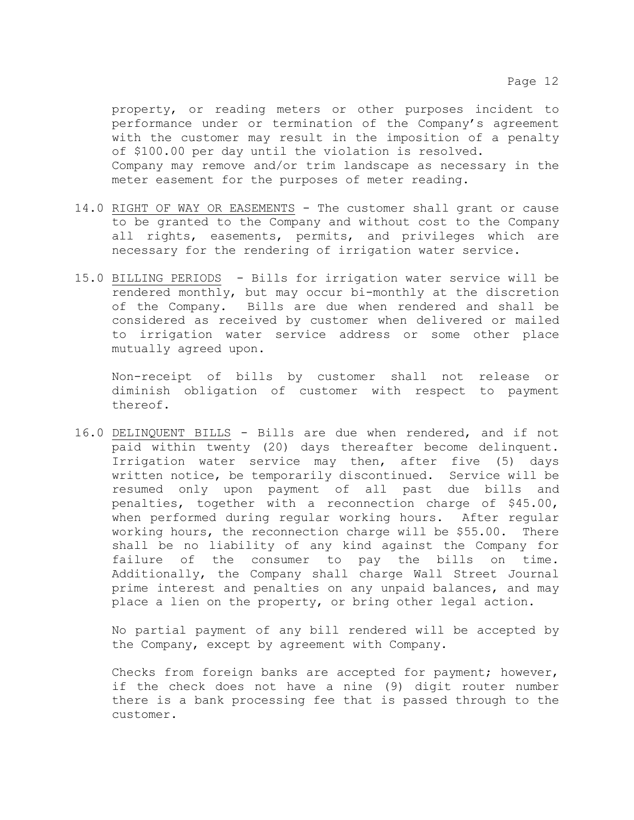property, or reading meters or other purposes incident to performance under or termination of the Company's agreement with the customer may result in the imposition of a penalty of \$100.00 per day until the violation is resolved. Company may remove and/or trim landscape as necessary in the meter easement for the purposes of meter reading.

- 14.0 RIGHT OF WAY OR EASEMENTS The customer shall grant or cause to be granted to the Company and without cost to the Company all rights, easements, permits, and privileges which are necessary for the rendering of irrigation water service.
- 15.0 BILLING PERIODS Bills for irrigation water service will be rendered monthly, but may occur bi-monthly at the discretion of the Company. Bills are due when rendered and shall be considered as received by customer when delivered or mailed to irrigation water service address or some other place mutually agreed upon.

Non-receipt of bills by customer shall not release or diminish obligation of customer with respect to payment thereof.

16.0 DELINQUENT BILLS - Bills are due when rendered, and if not paid within twenty (20) days thereafter become delinquent. Irrigation water service may then, after five (5) days written notice, be temporarily discontinued. Service will be resumed only upon payment of all past due bills and resumed only upon payment of all past due bills penalties, together with a reconnection charge of \$45.00, when performed during regular working hours. After regular working hours, the reconnection charge will be \$55.00. There shall be no liability of any kind against the Company for failure of the consumer to pay the bills on time. Additionally, the Company shall charge Wall Street Journal prime interest and penalties on any unpaid balances, and may place a lien on the property, or bring other legal action.

No partial payment of any bill rendered will be accepted by the Company, except by agreement with Company.

Checks from foreign banks are accepted for payment; however, if the check does not have a nine (9) digit router number there is a bank processing fee that is passed through to the customer.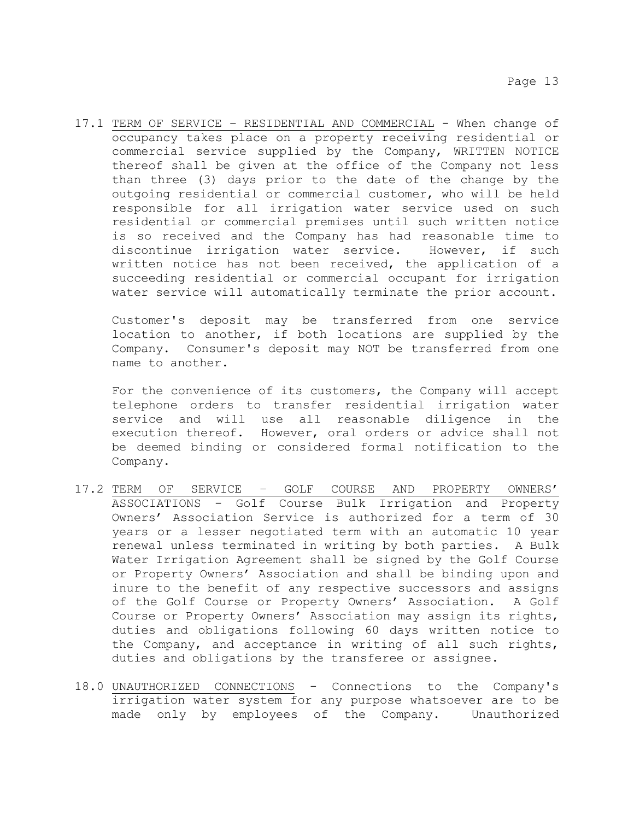17.1 TERM OF SERVICE – RESIDENTIAL AND COMMERCIAL - When change of occupancy takes place on a property receiving residential or commercial service supplied by the Company, WRITTEN NOTICE thereof shall be given at the office of the Company not less than three (3) days prior to the date of the change by the outgoing residential or commercial customer, who will be held responsible for all irrigation water service used on such residential or commercial premises until such written notice is so received and the Company has had reasonable time to<br>discontinue irrigation water service. However, if such discontinue irrigation water service. written notice has not been received, the application of a succeeding residential or commercial occupant for irrigation water service will automatically terminate the prior account.

Customer's deposit may be transferred from one service location to another, if both locations are supplied by the Company. Consumer's deposit may NOT be transferred from one name to another.

For the convenience of its customers, the Company will accept telephone orders to transfer residential irrigation water service and will use all reasonable diligence in the execution thereof. However, oral orders or advice shall not be deemed binding or considered formal notification to the Company.

- 17.2 TERM OF SERVICE GOLF COURSE AND PROPERTY OWNERS' ASSOCIATIONS - Golf Course Bulk Irrigation and Property Owners' Association Service is authorized for a term of 30 years or a lesser negotiated term with an automatic 10 year renewal unless terminated in writing by both parties. A Bulk Water Irrigation Agreement shall be signed by the Golf Course or Property Owners' Association and shall be binding upon and inure to the benefit of any respective successors and assigns of the Golf Course or Property Owners' Association. A Golf Course or Property Owners' Association may assign its rights, duties and obligations following 60 days written notice to the Company, and acceptance in writing of all such rights, duties and obligations by the transferee or assignee.
- 18.0 UNAUTHORIZED CONNECTIONS Connections to the Company's irrigation water system for any purpose whatsoever are to be made only by employees of the Company. Unauthorized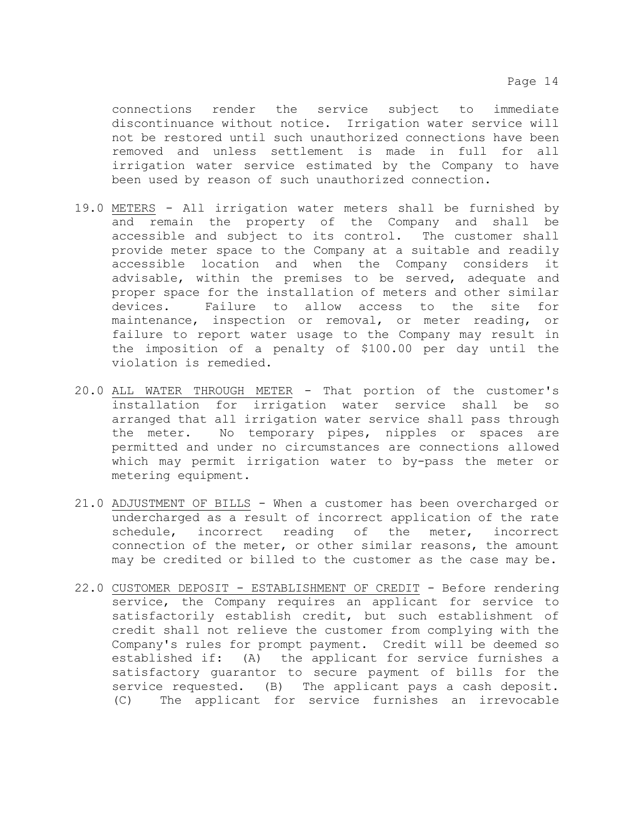connections render the service subject to immediate discontinuance without notice. Irrigation water service will not be restored until such unauthorized connections have been removed and unless settlement is made in full for all irrigation water service estimated by the Company to have been used by reason of such unauthorized connection.

- 19.0 METERS All irrigation water meters shall be furnished by and remain the property of the Company and shall be accessible and subject to its control. The customer shall provide meter space to the Company at a suitable and readily<br>accessible location and when the Company considers it accessible location and when the Company considers advisable, within the premises to be served, adequate and proper space for the installation of meters and other similar<br>devices. Failure to allow access to the site for Failure to allow access to the maintenance, inspection or removal, or meter reading, or failure to report water usage to the Company may result in the imposition of a penalty of \$100.00 per day until the violation is remedied.
- 20.0 ALL WATER THROUGH METER That portion of the customer's installation for irrigation water service shall be so arranged that all irrigation water service shall pass through<br>the meter. No temporary pipes, nipples or spaces are No temporary pipes, nipples or spaces are permitted and under no circumstances are connections allowed which may permit irrigation water to by-pass the meter or metering equipment.
- 21.0 ADJUSTMENT OF BILLS When a customer has been overcharged or undercharged as a result of incorrect application of the rate schedule, incorrect reading of the meter, incorrect connection of the meter, or other similar reasons, the amount may be credited or billed to the customer as the case may be.
- 22.0 CUSTOMER DEPOSIT ESTABLISHMENT OF CREDIT Before rendering service, the Company requires an applicant for service to satisfactorily establish credit, but such establishment of credit shall not relieve the customer from complying with the Company's rules for prompt payment. Credit will be deemed so established if: (A) the applicant for service furnishes a satisfactory guarantor to secure payment of bills for the service requested. (B) The applicant pays a cash deposit. (C) The applicant for service furnishes an irrevocable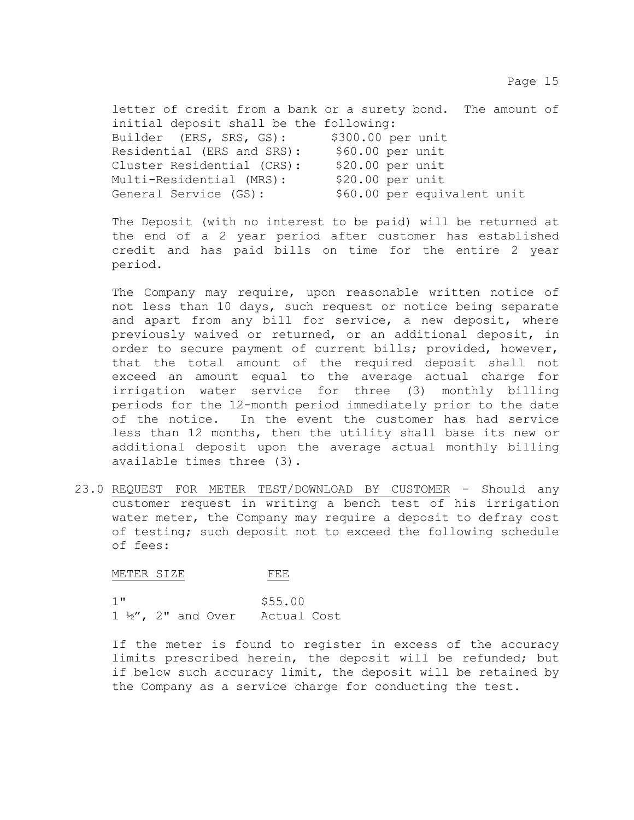letter of credit from a bank or a surety bond. The amount of initial deposit shall be the following:<br>Builder (ERS, SRS, GS): \$300.00 per unit Builder (ERS, SRS, GS): \$300.00 per unit<br>Residential (ERS and SRS): \$60.00 per unit Residential (ERS and SRS): \$60.00 per unit<br>Cluster Residential (CRS): \$20.00 per unit Cluster Residential (CRS): \$20.00 per unit<br>Multi-Residential (MRS): \$20.00 per unit Multi-Residential (MRS):<br>General Service (GS): \$60.00 per equivalent unit

The Deposit (with no interest to be paid) will be returned at the end of a 2 year period after customer has established credit and has paid bills on time for the entire 2 year period.

The Company may require, upon reasonable written notice of not less than 10 days, such request or notice being separate and apart from any bill for service, a new deposit, where previously waived or returned, or an additional deposit, in order to secure payment of current bills; provided, however, that the total amount of the required deposit shall not exceed an amount equal to the average actual charge for irrigation water service for three (3) monthly billing periods for the 12-month period immediately prior to the date of the notice. In the event the customer has had service less than 12 months, then the utility shall base its new or additional deposit upon the average actual monthly billing available times three (3).

23.0 REQUEST FOR METER TEST/DOWNLOAD BY CUSTOMER - Should any customer request in writing a bench test of his irrigation water meter, the Company may require a deposit to defray cost of testing; such deposit not to exceed the following schedule of fees:

METER SIZE FEE

 $1$ "  $$55.00$ <br> $1 \frac{1}{2}$ ", 2" and Over Actual Cost  $1 \frac{1}{2}$ ,  $2$ " and Over

If the meter is found to register in excess of the accuracy limits prescribed herein, the deposit will be refunded; but if below such accuracy limit, the deposit will be retained by the Company as a service charge for conducting the test.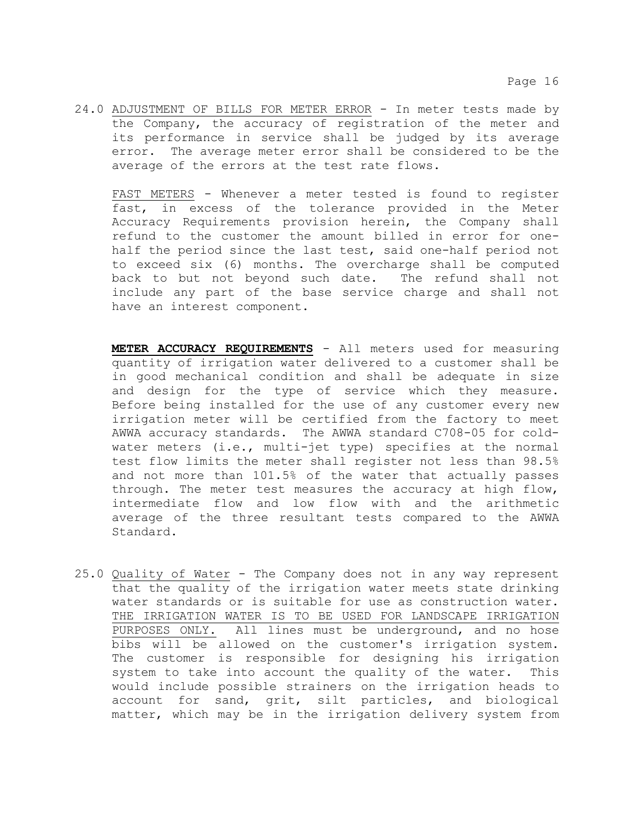24.0 ADJUSTMENT OF BILLS FOR METER ERROR - In meter tests made by the Company, the accuracy of registration of the meter and its performance in service shall be judged by its average error. The average meter error shall be considered to be the average of the errors at the test rate flows.

FAST METERS - Whenever a meter tested is found to register fast, in excess of the tolerance provided in the Meter Accuracy Requirements provision herein, the Company shall refund to the customer the amount billed in error for onehalf the period since the last test, said one-half period not to exceed six (6) months. The overcharge shall be computed<br>back to but not beyond such date. The refund shall not back to but not beyond such date. include any part of the base service charge and shall not have an interest component.

- **METER ACCURACY REQUIREMENTS** All meters used for measuring quantity of irrigation water delivered to a customer shall be in good mechanical condition and shall be adequate in size and design for the type of service which they measure. Before being installed for the use of any customer every new irrigation meter will be certified from the factory to meet AWWA accuracy standards. The AWWA standard C708-05 for coldwater meters (i.e., multi-jet type) specifies at the normal test flow limits the meter shall register not less than 98.5% and not more than 101.5% of the water that actually passes through. The meter test measures the accuracy at high flow, intermediate flow and low flow with and the arithmetic average of the three resultant tests compared to the AWWA Standard.
- 25.0 Quality of Water The Company does not in any way represent that the quality of the irrigation water meets state drinking water standards or is suitable for use as construction water. THE IRRIGATION WATER IS TO BE USED FOR LANDSCAPE IRRIGATION PURPOSES ONLY. All lines must be underground, and no hose bibs will be allowed on the customer's irrigation system. The customer is responsible for designing his irrigation system to take into account the quality of the water. This would include possible strainers on the irrigation heads to account for sand, grit, silt particles, and biological matter, which may be in the irrigation delivery system from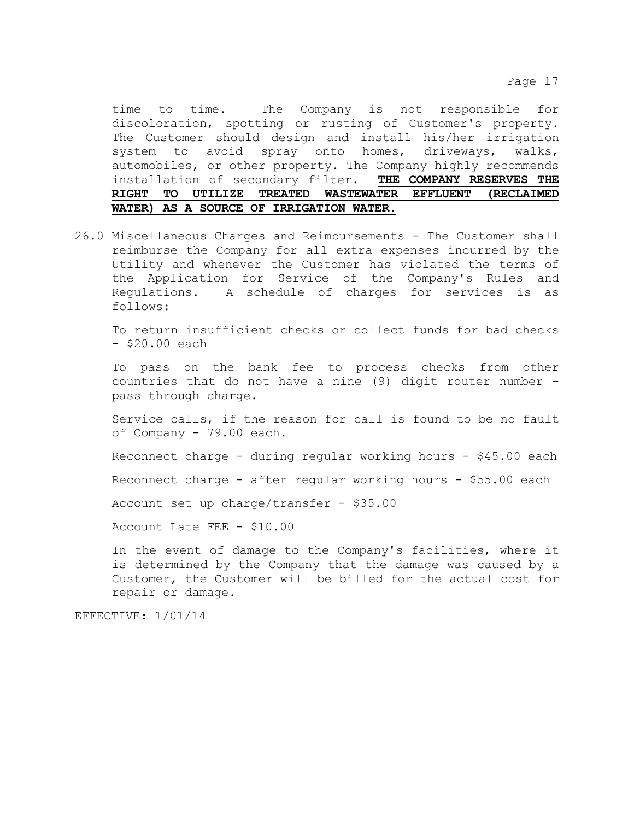time to time. The Company is not responsible for discoloration, spotting or rusting of Customer's property. The Customer should design and install his/her irrigation system to avoid spray onto homes, driveways, walks, automobiles, or other property. The Company highly recommends<br>installation of secondary filter. THE COMPANY RESERVES THE installation of secondary filter. **THE COMPANY RESERVES THE RIGHT TO UTILIZE TREATED WASTEWATER EFFLUENT (RECLAIMED WATER) AS A SOURCE OF IRRIGATION WATER**.

26.0 Miscellaneous Charges and Reimbursements - The Customer shall reimburse the Company for all extra expenses incurred by the Utility and whenever the Customer has violated the terms of the Application for Service of the Company's Rules and Regulations. A schedule of charges for services is as follows:

To return insufficient checks or collect funds for bad checks - \$20.00 each

To pass on the bank fee to process checks from other countries that do not have a nine (9) digit router number – pass through charge.

Service calls, if the reason for call is found to be no fault of Company - 79.00 each.

Reconnect charge - during regular working hours - \$45.00 each

Reconnect charge - after regular working hours - \$55.00 each

Account set up charge/transfer - \$35.00

Account Late FEE - \$10.00

In the event of damage to the Company's facilities, where it is determined by the Company that the damage was caused by a Customer, the Customer will be billed for the actual cost for repair or damage.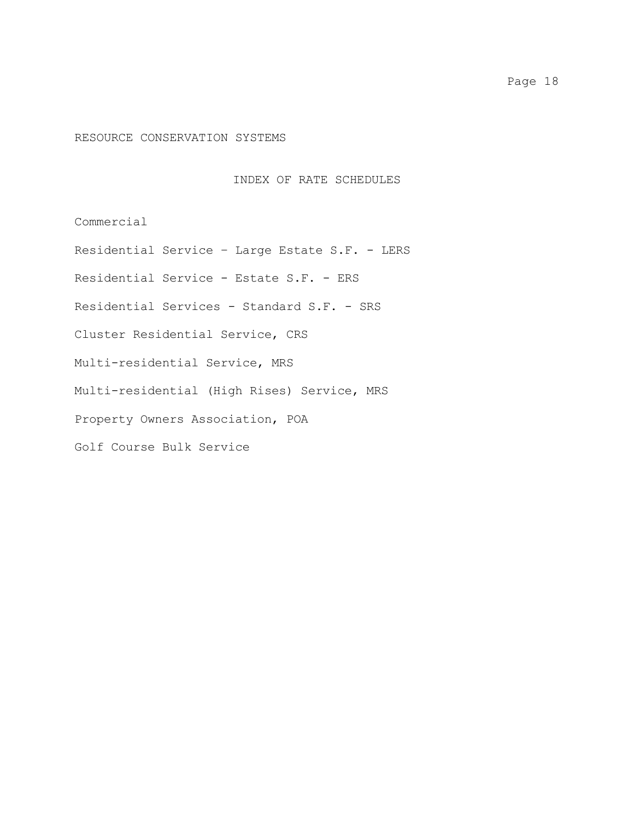## RESOURCE CONSERVATION SYSTEMS

## INDEX OF RATE SCHEDULES

Commercial

Residential Service – Large Estate S.F. - LERS

Residential Service - Estate S.F. - ERS

Residential Services - Standard S.F. - SRS

Cluster Residential Service, CRS

Multi-residential Service, MRS

Multi-residential (High Rises) Service, MRS

Property Owners Association, POA

Golf Course Bulk Service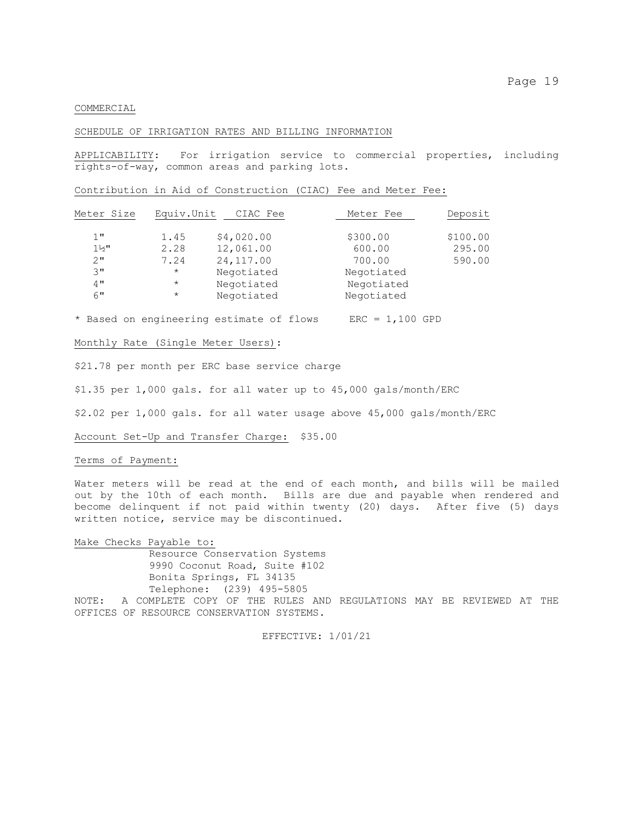#### COMMERCIAL

#### SCHEDULE OF IRRIGATION RATES AND BILLING INFORMATION

APPLICABILITY: For irrigation service to commercial properties, including rights-of-way, common areas and parking lots.

Contribution in Aid of Construction (CIAC) Fee and Meter Fee:

|                |         |            |            | Deposit  |
|----------------|---------|------------|------------|----------|
| $1$ $"$        | 1.45    | \$4,020.00 | \$300.00   | \$100.00 |
| $1\frac{1}{2}$ | 2.28    | 12,061.00  | 600.00     | 295.00   |
| 2"             | 7.24    | 24,117.00  | 700.00     | 590.00   |
| 3"             | $\star$ | Negotiated | Negotiated |          |
| 4"             | $\star$ | Negotiated | Negotiated |          |
| 6"             | $\star$ | Negotiated | Negotiated |          |

\* Based on engineering estimate of flows ERC = 1,100 GPD

#### Monthly Rate (Single Meter Users):

\$21.78 per month per ERC base service charge

\$1.35 per 1,000 gals. for all water up to 45,000 gals/month/ERC

\$2.02 per 1,000 gals. for all water usage above 45,000 gals/month/ERC

#### Account Set-Up and Transfer Charge: \$35.00

#### Terms of Payment:

Water meters will be read at the end of each month, and bills will be mailed out by the 10th of each month. Bills are due and payable when rendered and become delinquent if not paid within twenty (20) days. After five (5) days written notice, service may be discontinued.

Make Checks Payable to: Resource Conservation Systems 9990 Coconut Road, Suite #102 Bonita Springs, FL 34135 Telephone: (239) 495-5805 NOTE: A COMPLETE COPY OF THE RULES AND REGULATIONS MAY BE REVIEWED AT THE OFFICES OF RESOURCE CONSERVATION SYSTEMS.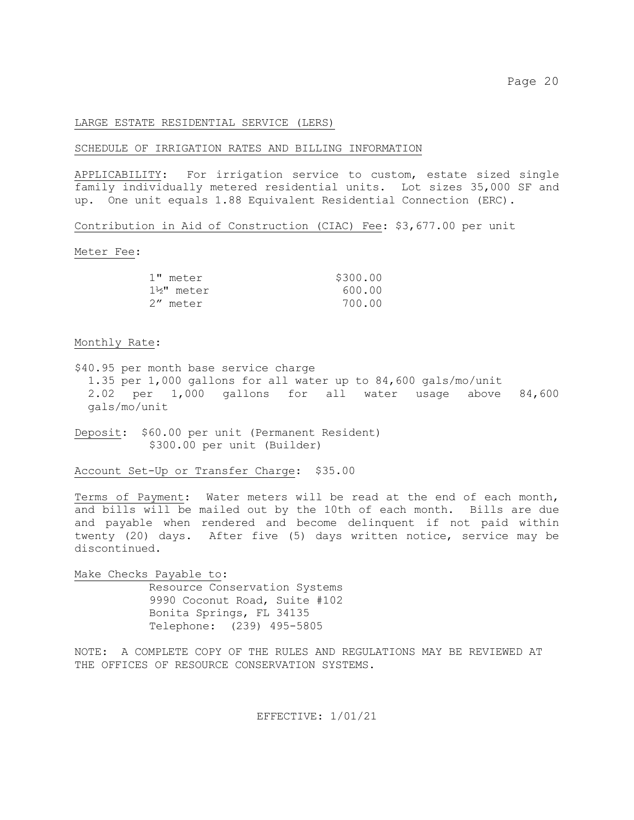#### LARGE ESTATE RESIDENTIAL SERVICE (LERS)

## SCHEDULE OF IRRIGATION RATES AND BILLING INFORMATION

APPLICABILITY: For irrigation service to custom, estate sized single family individually metered residential units. Lot sizes 35,000 SF and up. One unit equals 1.88 Equivalent Residential Connection (ERC).

Contribution in Aid of Construction (CIAC) Fee: \$3,677.00 per unit

#### Meter Fee:

| 1" meter  | \$300.00 |
|-----------|----------|
| 1½" meter | 600.00   |
| 2" meter  | 700.00   |

#### Monthly Rate:

\$40.95 per month base service charge 1.35 per 1,000 gallons for all water up to 84,600 gals/mo/unit 2.02 per 1,000 gallons for all water usage above 84,600 gals/mo/unit

Deposit: \$60.00 per unit (Permanent Resident) \$300.00 per unit (Builder)

Account Set-Up or Transfer Charge: \$35.00

Terms of Payment: Water meters will be read at the end of each month, and bills will be mailed out by the 10th of each month. Bills are due and payable when rendered and become delinquent if not paid within twenty (20) days. After five (5) days written notice, service may be discontinued.

Make Checks Payable to: Resource Conservation Systems 9990 Coconut Road, Suite #102 Bonita Springs, FL 34135 Telephone: (239) 495-5805

NOTE: A COMPLETE COPY OF THE RULES AND REGULATIONS MAY BE REVIEWED AT THE OFFICES OF RESOURCE CONSERVATION SYSTEMS.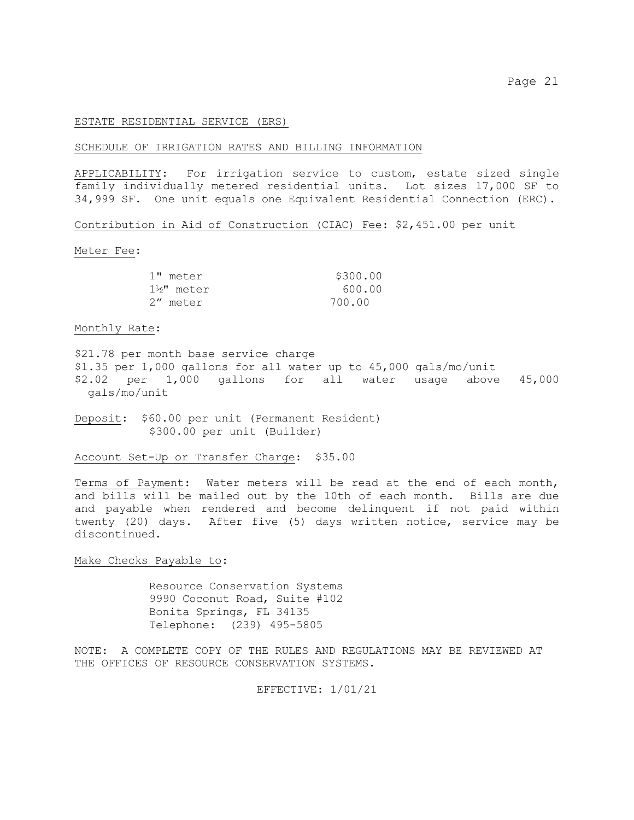#### ESTATE RESIDENTIAL SERVICE (ERS)

#### SCHEDULE OF IRRIGATION RATES AND BILLING INFORMATION

APPLICABILITY: For irrigation service to custom, estate sized single family individually metered residential units. Lot sizes 17,000 SF to 34,999 SF. One unit equals one Equivalent Residential Connection (ERC).

Contribution in Aid of Construction (CIAC) Fee: \$2,451.00 per unit

Meter Fee:

| 1" meter  | \$300.00 |
|-----------|----------|
| 1½" meter | 600.00   |
| 2" meter  | 700.00   |

#### Monthly Rate:

\$21.78 per month base service charge \$1.35 per 1,000 gallons for all water up to 45,000 gals/mo/unit \$2.02 per 1,000 gallons for all water usage above 45,000 gals/mo/unit

Deposit: \$60.00 per unit (Permanent Resident) \$300.00 per unit (Builder)

Account Set-Up or Transfer Charge: \$35.00

Terms of Payment: Water meters will be read at the end of each month, and bills will be mailed out by the 10th of each month. Bills are due and payable when rendered and become delinquent if not paid within twenty (20) days. After five (5) days written notice, service may be discontinued.

## Make Checks Payable to:

Resource Conservation Systems 9990 Coconut Road, Suite #102 Bonita Springs, FL 34135 Telephone: (239) 495-5805

NOTE: A COMPLETE COPY OF THE RULES AND REGULATIONS MAY BE REVIEWED AT THE OFFICES OF RESOURCE CONSERVATION SYSTEMS.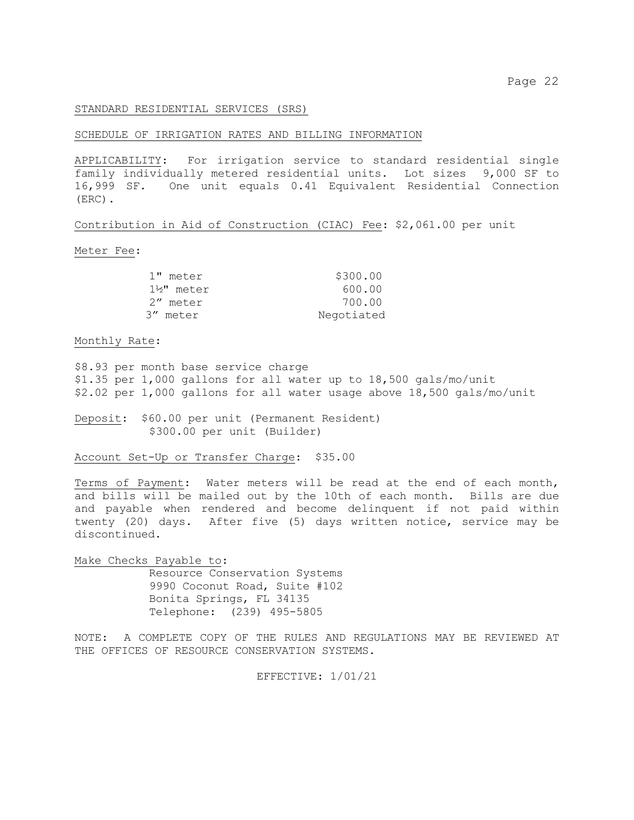### STANDARD RESIDENTIAL SERVICES (SRS)

#### SCHEDULE OF IRRIGATION RATES AND BILLING INFORMATION

APPLICABILITY: For irrigation service to standard residential single family individually metered residential units. Lot sizes 9,000 SF to 16,999 SF. One unit equals 0.41 Equivalent Residential Connection (ERC).

Contribution in Aid of Construction (CIAC) Fee: \$2,061.00 per unit

Meter Fee:

| \$300.00   |
|------------|
| 600.00     |
| 700.00     |
| Negotiated |
|            |

Monthly Rate:

\$8.93 per month base service charge \$1.35 per 1,000 gallons for all water up to 18,500 gals/mo/unit \$2.02 per 1,000 gallons for all water usage above 18,500 gals/mo/unit

Deposit: \$60.00 per unit (Permanent Resident) \$300.00 per unit (Builder)

Account Set-Up or Transfer Charge: \$35.00

Terms of Payment: Water meters will be read at the end of each month, and bills will be mailed out by the 10th of each month. Bills are due and payable when rendered and become delinquent if not paid within twenty (20) days. After five (5) days written notice, service may be discontinued.

Make Checks Payable to: Resource Conservation Systems 9990 Coconut Road, Suite #102 Bonita Springs, FL 34135 Telephone: (239) 495-5805

NOTE: A COMPLETE COPY OF THE RULES AND REGULATIONS MAY BE REVIEWED AT THE OFFICES OF RESOURCE CONSERVATION SYSTEMS.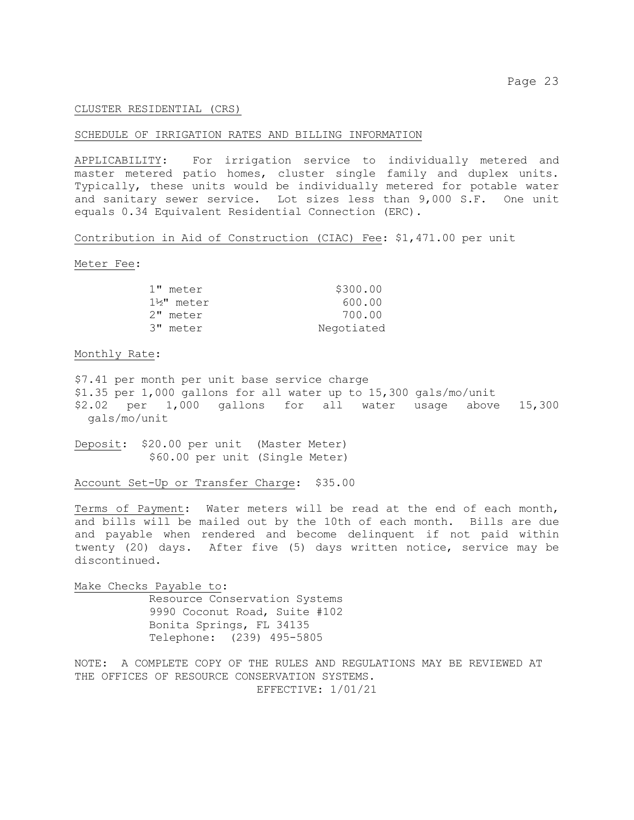## CLUSTER RESIDENTIAL (CRS)

## SCHEDULE OF IRRIGATION RATES AND BILLING INFORMATION

APPLICABILITY: For irrigation service to individually metered and master metered patio homes, cluster single family and duplex units. Typically, these units would be individually metered for potable water and sanitary sewer service. Lot sizes less than 9,000 S.F. One unit equals 0.34 Equivalent Residential Connection (ERC).

Contribution in Aid of Construction (CIAC) Fee: \$1,471.00 per unit

Meter Fee:

| 1" meter  | \$300.00   |
|-----------|------------|
| 1½" meter | 600.00     |
| 2" meter  | 700.00     |
| 3" meter  | Negotiated |

Monthly Rate:

\$7.41 per month per unit base service charge \$1.35 per 1,000 gallons for all water up to 15,300 gals/mo/unit \$2.02 per 1,000 gallons for all water usage above 15,300 gals/mo/unit

Deposit: \$20.00 per unit (Master Meter) \$60.00 per unit (Single Meter)

Account Set-Up or Transfer Charge: \$35.00

Terms of Payment: Water meters will be read at the end of each month, and bills will be mailed out by the 10th of each month. Bills are due and payable when rendered and become delinquent if not paid within twenty (20) days. After five (5) days written notice, service may be discontinued.

Make Checks Payable to: Resource Conservation Systems 9990 Coconut Road, Suite #102 Bonita Springs, FL 34135 Telephone: (239) 495-5805

NOTE: A COMPLETE COPY OF THE RULES AND REGULATIONS MAY BE REVIEWED AT THE OFFICES OF RESOURCE CONSERVATION SYSTEMS. EFFECTIVE: 1/01/21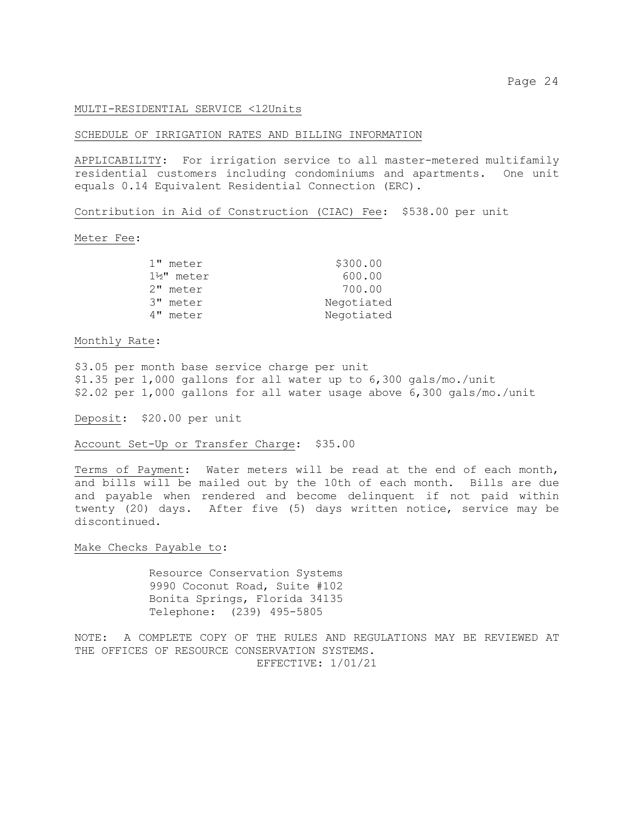#### MULTI-RESIDENTIAL SERVICE <12Units

#### SCHEDULE OF IRRIGATION RATES AND BILLING INFORMATION

APPLICABILITY: For irrigation service to all master-metered multifamily residential customers including condominiums and apartments. One unit equals 0.14 Equivalent Residential Connection (ERC).

Contribution in Aid of Construction (CIAC) Fee: \$538.00 per unit

#### Meter Fee:

| 1" meter  | \$300.00   |
|-----------|------------|
| 1½" meter | 600.00     |
| 2" meter  | 700.00     |
| 3" meter  | Negotiated |
| 4" meter  | Negotiated |

Monthly Rate:

\$3.05 per month base service charge per unit \$1.35 per 1,000 gallons for all water up to 6,300 gals/mo./unit \$2.02 per 1,000 gallons for all water usage above 6,300 gals/mo./unit

Deposit: \$20.00 per unit

Account Set-Up or Transfer Charge: \$35.00

Terms of Payment: Water meters will be read at the end of each month, and bills will be mailed out by the 10th of each month. Bills are due and payable when rendered and become delinquent if not paid within twenty (20) days. After five (5) days written notice, service may be discontinued.

## Make Checks Payable to:

Resource Conservation Systems 9990 Coconut Road, Suite #102 Bonita Springs, Florida 34135 Telephone: (239) 495-5805

NOTE: A COMPLETE COPY OF THE RULES AND REGULATIONS MAY BE REVIEWED AT THE OFFICES OF RESOURCE CONSERVATION SYSTEMS. EFFECTIVE: 1/01/21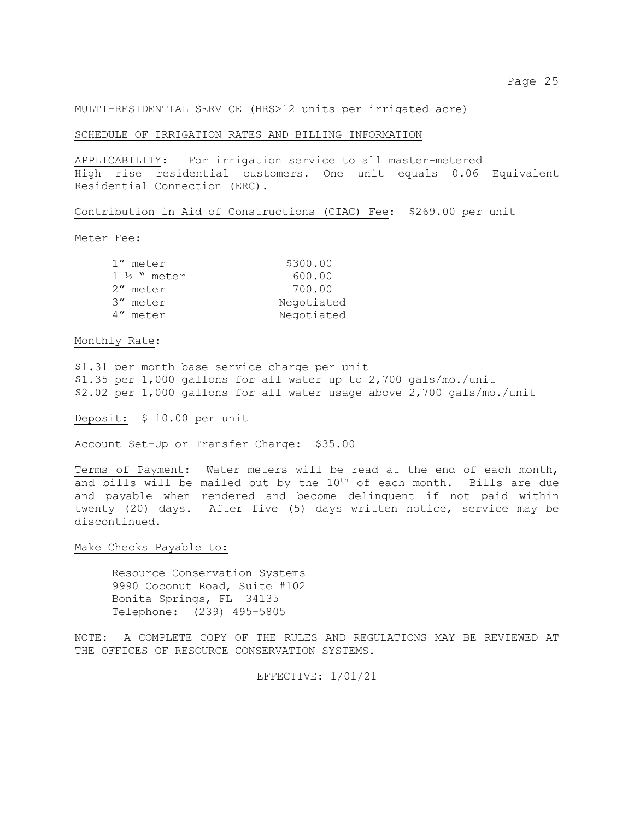#### MULTI-RESIDENTIAL SERVICE (HRS>12 units per irrigated acre)

## SCHEDULE OF IRRIGATION RATES AND BILLING INFORMATION

APPLICABILITY: For irrigation service to all master-metered High rise residential customers. One unit equals 0.06 Equivalent Residential Connection (ERC).

Contribution in Aid of Constructions (CIAC) Fee: \$269.00 per unit

#### Meter Fee:

| 1" meter                | \$300.00   |
|-------------------------|------------|
| $1 \frac{1}{2}$ " meter | 600.00     |
| 2" meter                | 700.00     |
| 3" meter                | Negotiated |
| 4" meter                | Negotiated |
|                         |            |

## Monthly Rate:

\$1.31 per month base service charge per unit \$1.35 per 1,000 gallons for all water up to 2,700 gals/mo./unit \$2.02 per 1,000 gallons for all water usage above 2,700 gals/mo./unit

Deposit: \$ 10.00 per unit

Account Set-Up or Transfer Charge: \$35.00

Terms of Payment: Water meters will be read at the end of each month, and bills will be mailed out by the  $10<sup>th</sup>$  of each month. Bills are due and payable when rendered and become delinquent if not paid within twenty (20) days. After five (5) days written notice, service may be discontinued.

#### Make Checks Payable to:

Resource Conservation Systems 9990 Coconut Road, Suite #102 Bonita Springs, FL 34135 Telephone: (239) 495-5805

NOTE: A COMPLETE COPY OF THE RULES AND REGULATIONS MAY BE REVIEWED AT THE OFFICES OF RESOURCE CONSERVATION SYSTEMS.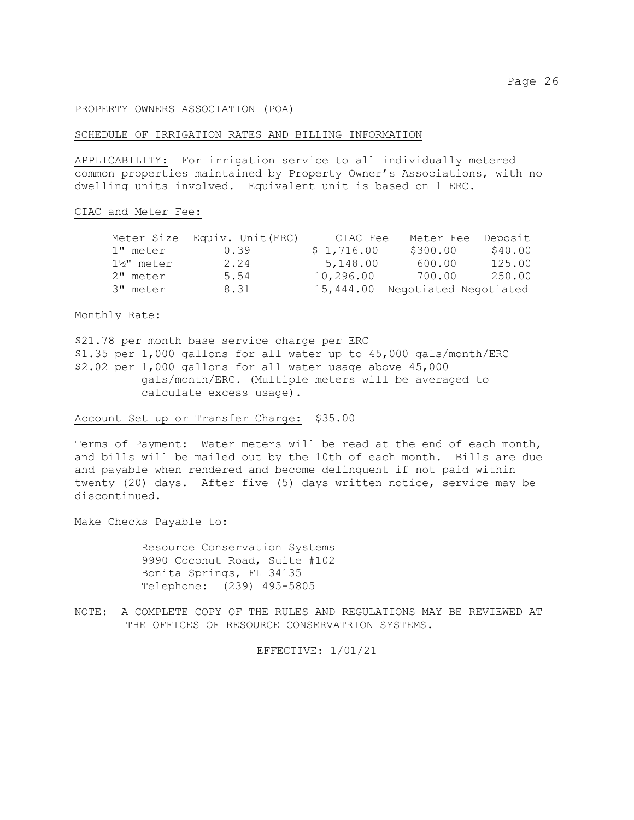## PROPERTY OWNERS ASSOCIATION (POA)

## SCHEDULE OF IRRIGATION RATES AND BILLING INFORMATION

APPLICABILITY: For irrigation service to all individually metered common properties maintained by Property Owner's Associations, with no dwelling units involved. Equivalent unit is based on 1 ERC.

#### CIAC and Meter Fee:

| Meter Size             | Equiv. Unit (ERC) | CIAC Fee   | Meter Fee             | Deposit |
|------------------------|-------------------|------------|-----------------------|---------|
| 1" meter               | 0.39              | \$1,716.00 | \$300.00              | \$40.00 |
| $1\frac{1}{2}$ " meter | 2.24              | 5,148.00   | 600.00                | 125.00  |
| 2" meter               | 5.54              | 10,296.00  | 700.00                | 250.00  |
| 3" meter               | 8.31              | 15,444.00  | Negotiated Negotiated |         |

## Monthly Rate:

\$21.78 per month base service charge per ERC \$1.35 per 1,000 gallons for all water up to 45,000 gals/month/ERC \$2.02 per 1,000 gallons for all water usage above 45,000 gals/month/ERC. (Multiple meters will be averaged to calculate excess usage).

#### Account Set up or Transfer Charge: \$35.00

Terms of Payment: Water meters will be read at the end of each month, and bills will be mailed out by the 10th of each month. Bills are due and payable when rendered and become delinquent if not paid within twenty (20) days. After five (5) days written notice, service may be discontinued.

#### Make Checks Payable to:

 Resource Conservation Systems 9990 Coconut Road, Suite #102 Bonita Springs, FL 34135 Telephone: (239) 495-5805

NOTE: A COMPLETE COPY OF THE RULES AND REGULATIONS MAY BE REVIEWED AT THE OFFICES OF RESOURCE CONSERVATRION SYSTEMS.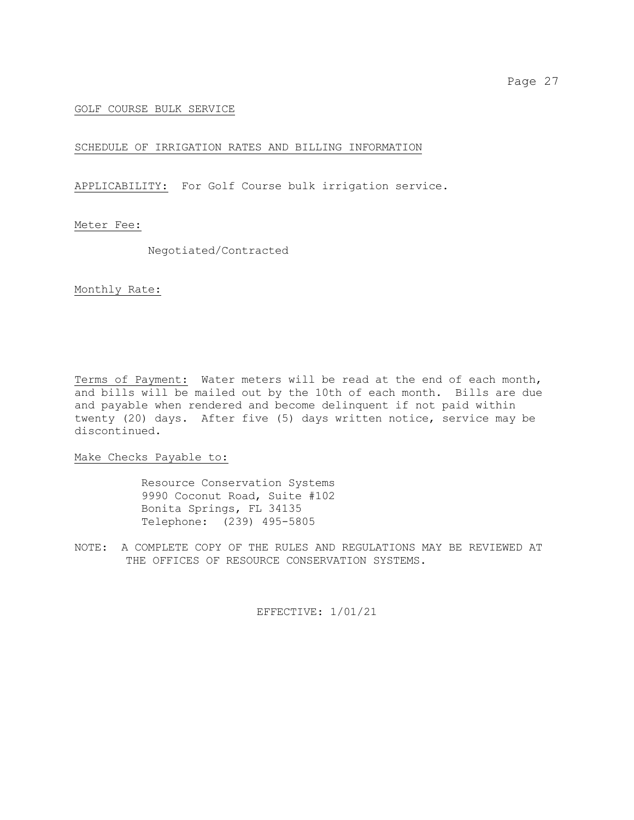## GOLF COURSE BULK SERVICE

## SCHEDULE OF IRRIGATION RATES AND BILLING INFORMATION

APPLICABILITY: For Golf Course bulk irrigation service.

## Meter Fee:

Negotiated/Contracted

## Monthly Rate:

Terms of Payment: Water meters will be read at the end of each month, and bills will be mailed out by the 10th of each month. Bills are due and payable when rendered and become delinquent if not paid within twenty (20) days. After five (5) days written notice, service may be discontinued.

## Make Checks Payable to:

 Resource Conservation Systems 9990 Coconut Road, Suite #102 Bonita Springs, FL 34135 Telephone: (239) 495-5805

NOTE: A COMPLETE COPY OF THE RULES AND REGULATIONS MAY BE REVIEWED AT THE OFFICES OF RESOURCE CONSERVATION SYSTEMS.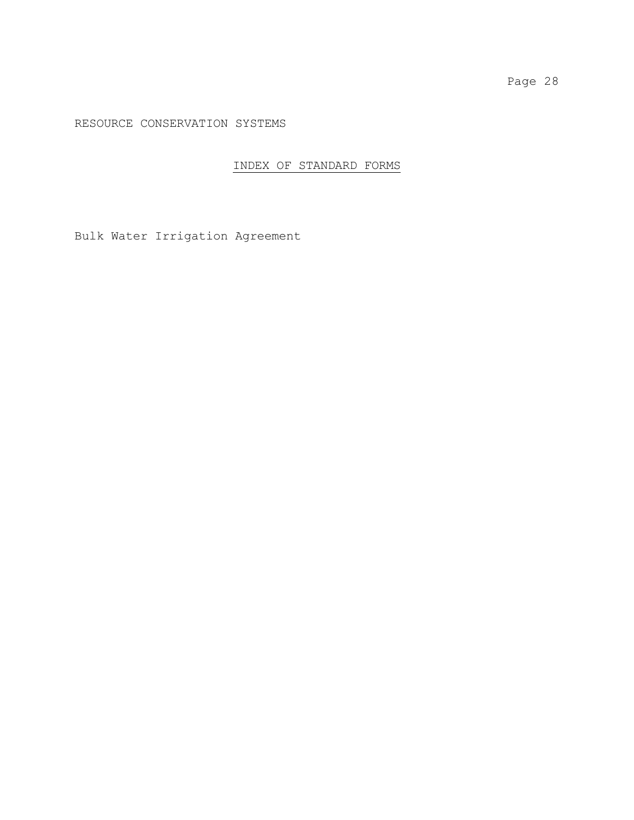RESOURCE CONSERVATION SYSTEMS

## INDEX OF STANDARD FORMS

Bulk Water Irrigation Agreement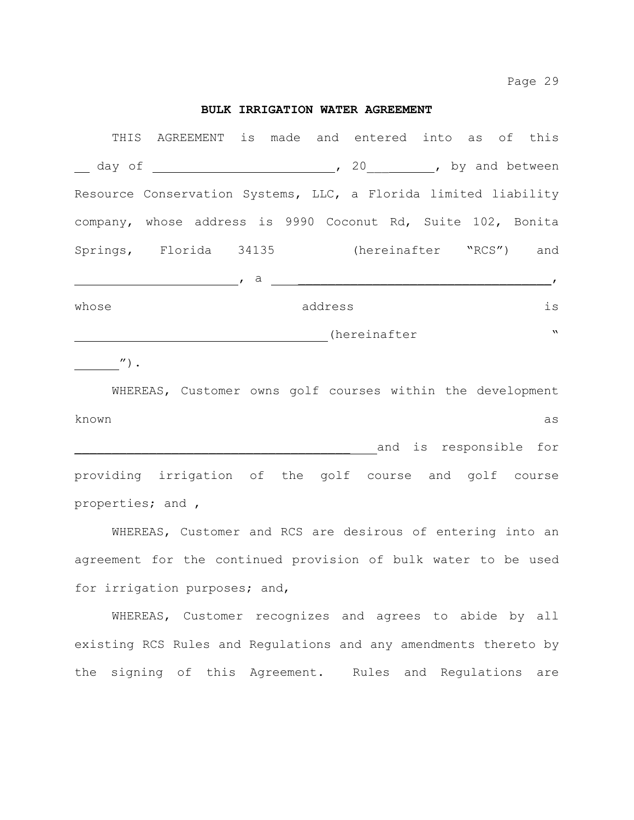Page 29

## **BULK IRRIGATION WATER AGREEMENT**

| THIS  | AGREEMENT is made and entered into as of this                   |     |         |              |  |              |
|-------|-----------------------------------------------------------------|-----|---------|--------------|--|--------------|
|       |                                                                 |     |         |              |  |              |
|       | Resource Conservation Systems, LLC, a Florida limited liability |     |         |              |  |              |
|       | company, whose address is 9990 Coconut Rd, Suite 102, Bonita    |     |         |              |  |              |
|       | Springs, Florida 34135 (hereinafter "RCS") and                  |     |         |              |  |              |
|       |                                                                 | , a |         |              |  |              |
| whose |                                                                 |     | address |              |  | is           |
|       |                                                                 |     |         | (hereinafter |  | $\mathbf{v}$ |

 $\sqrt{''}$ ).

WHEREAS, Customer owns golf courses within the development known as \_\_\_\_\_\_\_\_\_\_\_\_\_\_\_\_\_\_\_\_\_\_\_\_\_\_\_\_\_\_\_\_\_\_\_\_\_ and is responsible for providing irrigation of the golf course and golf course properties; and ,

WHEREAS, Customer and RCS are desirous of entering into an agreement for the continued provision of bulk water to be used for irrigation purposes; and,

WHEREAS, Customer recognizes and agrees to abide by all existing RCS Rules and Regulations and any amendments thereto by the signing of this Agreement. Rules and Regulations are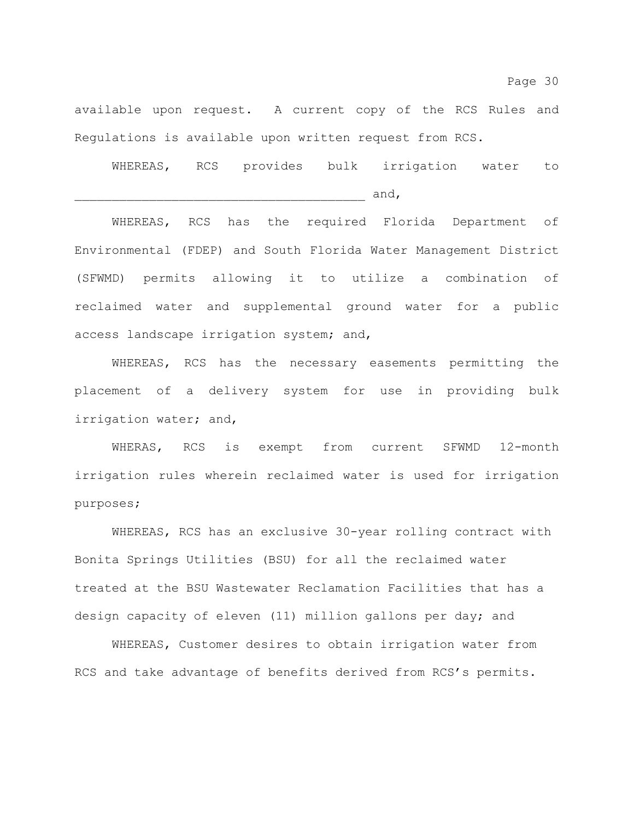available upon request. A current copy of the RCS Rules and Regulations is available upon written request from RCS.

WHEREAS, RCS provides bulk irrigation water to  $and,$ 

WHEREAS, RCS has the required Florida Department of Environmental (FDEP) and South Florida Water Management District (SFWMD) permits allowing it to utilize a combination of reclaimed water and supplemental ground water for a public access landscape irrigation system; and,

WHEREAS, RCS has the necessary easements permitting the placement of a delivery system for use in providing bulk irrigation water; and,

WHERAS, RCS is exempt from current SFWMD 12-month irrigation rules wherein reclaimed water is used for irrigation purposes;

WHEREAS, RCS has an exclusive 30-year rolling contract with Bonita Springs Utilities (BSU) for all the reclaimed water treated at the BSU Wastewater Reclamation Facilities that has a design capacity of eleven (11) million gallons per day; and

WHEREAS, Customer desires to obtain irrigation water from RCS and take advantage of benefits derived from RCS's permits.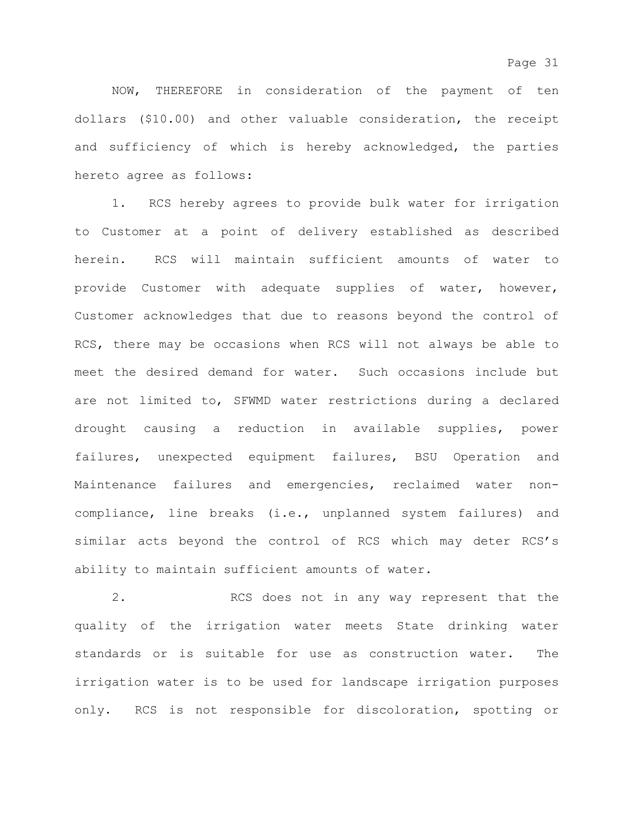NOW, THEREFORE in consideration of the payment of ten dollars (\$10.00) and other valuable consideration, the receipt and sufficiency of which is hereby acknowledged, the parties hereto agree as follows:

1. RCS hereby agrees to provide bulk water for irrigation to Customer at a point of delivery established as described herein. RCS will maintain sufficient amounts of water to provide Customer with adequate supplies of water, however, Customer acknowledges that due to reasons beyond the control of RCS, there may be occasions when RCS will not always be able to meet the desired demand for water. Such occasions include but are not limited to, SFWMD water restrictions during a declared drought causing a reduction in available supplies, power failures, unexpected equipment failures, BSU Operation and Maintenance failures and emergencies, reclaimed water noncompliance, line breaks (i.e., unplanned system failures) and similar acts beyond the control of RCS which may deter RCS's ability to maintain sufficient amounts of water.

2. RCS does not in any way represent that the quality of the irrigation water meets State drinking water standards or is suitable for use as construction water. The irrigation water is to be used for landscape irrigation purposes only. RCS is not responsible for discoloration, spotting or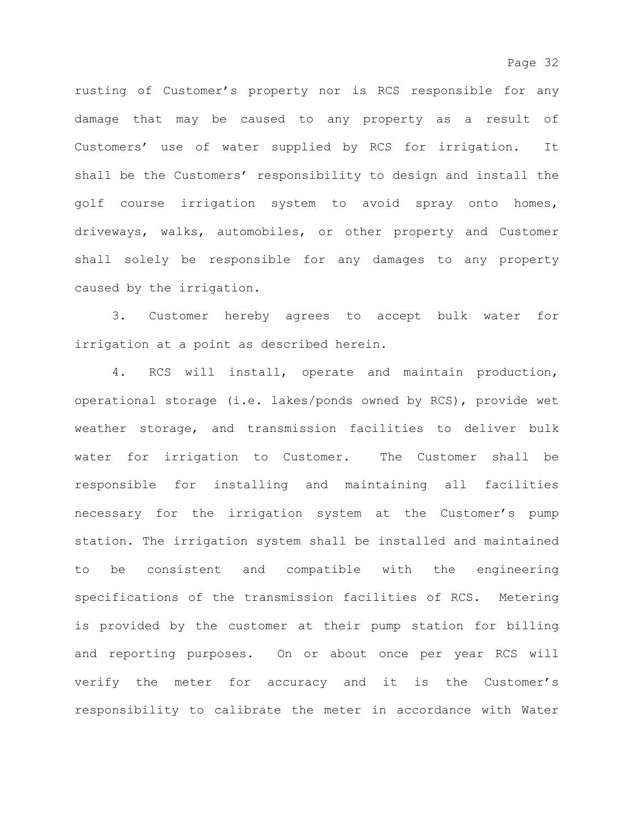rusting of Customer's property nor is RCS responsible for any damage that may be caused to any property as a result of Customers' use of water supplied by RCS for irrigation. It shall be the Customers' responsibility to design and install the golf course irrigation system to avoid spray onto homes, driveways, walks, automobiles, or other property and Customer shall solely be responsible for any damages to any property caused by the irrigation.

3. Customer hereby agrees to accept bulk water for irrigation at a point as described herein.

4. RCS will install, operate and maintain production, operational storage (i.e. lakes/ponds owned by RCS), provide wet weather storage, and transmission facilities to deliver bulk water for irrigation to Customer. The Customer shall be responsible for installing and maintaining all facilities necessary for the irrigation system at the Customer's pump station. The irrigation system shall be installed and maintained to be consistent and compatible with the engineering specifications of the transmission facilities of RCS. Metering is provided by the customer at their pump station for billing and reporting purposes. On or about once per year RCS will verify the meter for accuracy and it is the Customer's responsibility to calibrate the meter in accordance with Water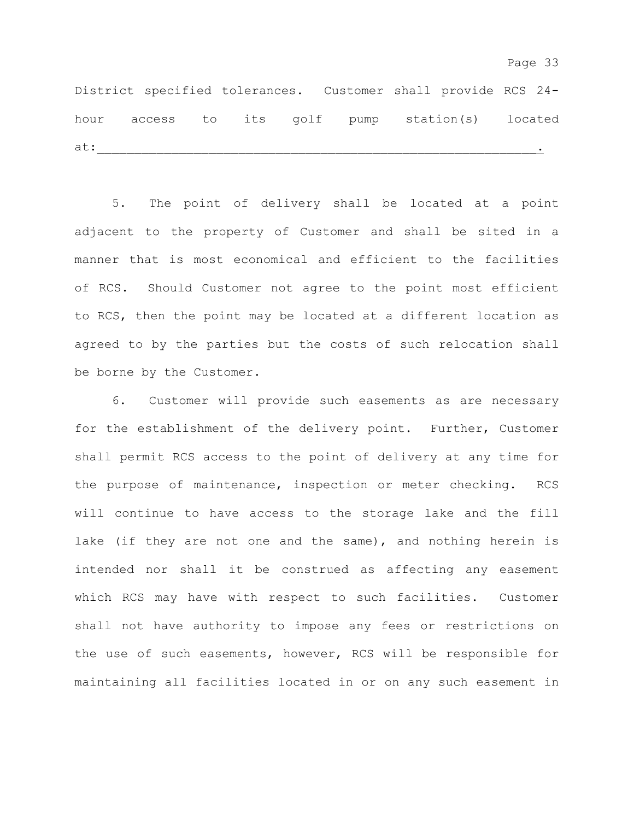District specified tolerances. Customer shall provide RCS 24 hour access to its golf pump station(s) located at:  $\bot$ 

5. The point of delivery shall be located at a point adjacent to the property of Customer and shall be sited in a manner that is most economical and efficient to the facilities of RCS. Should Customer not agree to the point most efficient to RCS, then the point may be located at a different location as agreed to by the parties but the costs of such relocation shall be borne by the Customer.

6. Customer will provide such easements as are necessary for the establishment of the delivery point. Further, Customer shall permit RCS access to the point of delivery at any time for the purpose of maintenance, inspection or meter checking. RCS will continue to have access to the storage lake and the fill lake (if they are not one and the same), and nothing herein is intended nor shall it be construed as affecting any easement which RCS may have with respect to such facilities. Customer shall not have authority to impose any fees or restrictions on the use of such easements, however, RCS will be responsible for maintaining all facilities located in or on any such easement in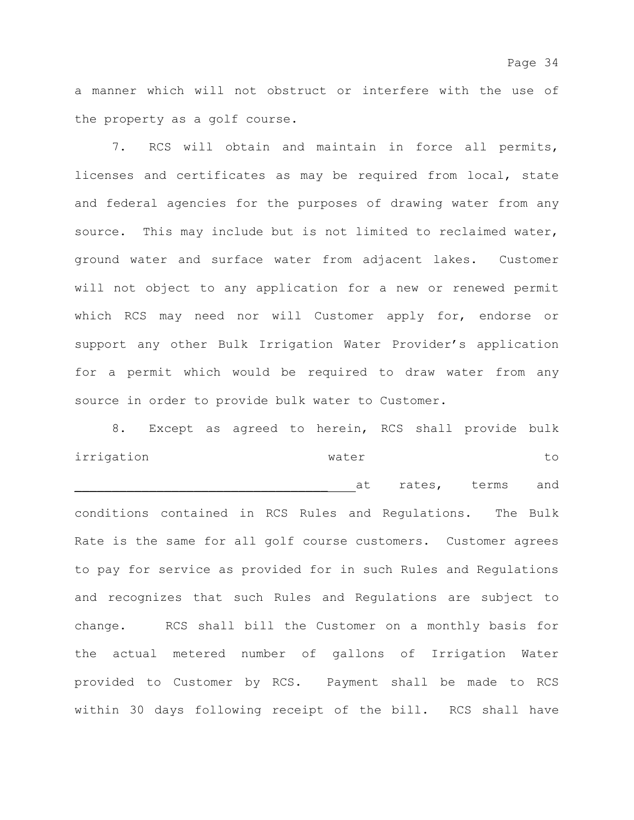a manner which will not obstruct or interfere with the use of the property as a golf course.

7. RCS will obtain and maintain in force all permits, licenses and certificates as may be required from local, state and federal agencies for the purposes of drawing water from any source. This may include but is not limited to reclaimed water, ground water and surface water from adjacent lakes. Customer will not object to any application for a new or renewed permit which RCS may need nor will Customer apply for, endorse or support any other Bulk Irrigation Water Provider's application for a permit which would be required to draw water from any source in order to provide bulk water to Customer.

8. Except as agreed to herein, RCS shall provide bulk irrigation **water** water to at rates, terms and conditions contained in RCS Rules and Regulations. The Bulk Rate is the same for all golf course customers. Customer agrees to pay for service as provided for in such Rules and Regulations and recognizes that such Rules and Regulations are subject to change. RCS shall bill the Customer on a monthly basis for the actual metered number of gallons of Irrigation Water provided to Customer by RCS. Payment shall be made to RCS within 30 days following receipt of the bill. RCS shall have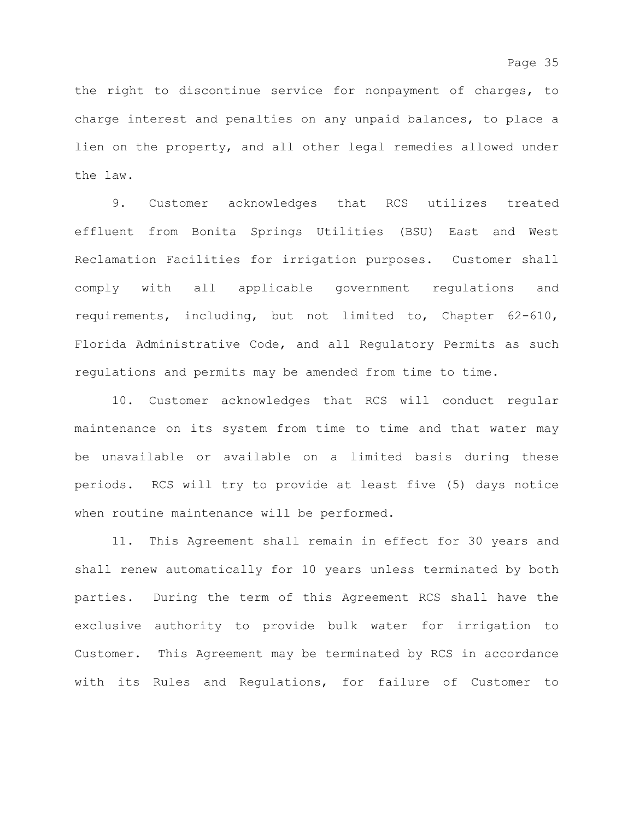the right to discontinue service for nonpayment of charges, to charge interest and penalties on any unpaid balances, to place a lien on the property, and all other legal remedies allowed under the law.

9. Customer acknowledges that RCS utilizes treated effluent from Bonita Springs Utilities (BSU) East and West Reclamation Facilities for irrigation purposes. Customer shall comply with all applicable government regulations and requirements, including, but not limited to, Chapter 62-610, Florida Administrative Code, and all Regulatory Permits as such regulations and permits may be amended from time to time.

10. Customer acknowledges that RCS will conduct regular maintenance on its system from time to time and that water may be unavailable or available on a limited basis during these periods. RCS will try to provide at least five (5) days notice when routine maintenance will be performed.

11. This Agreement shall remain in effect for 30 years and shall renew automatically for 10 years unless terminated by both parties. During the term of this Agreement RCS shall have the exclusive authority to provide bulk water for irrigation to Customer. This Agreement may be terminated by RCS in accordance with its Rules and Regulations, for failure of Customer to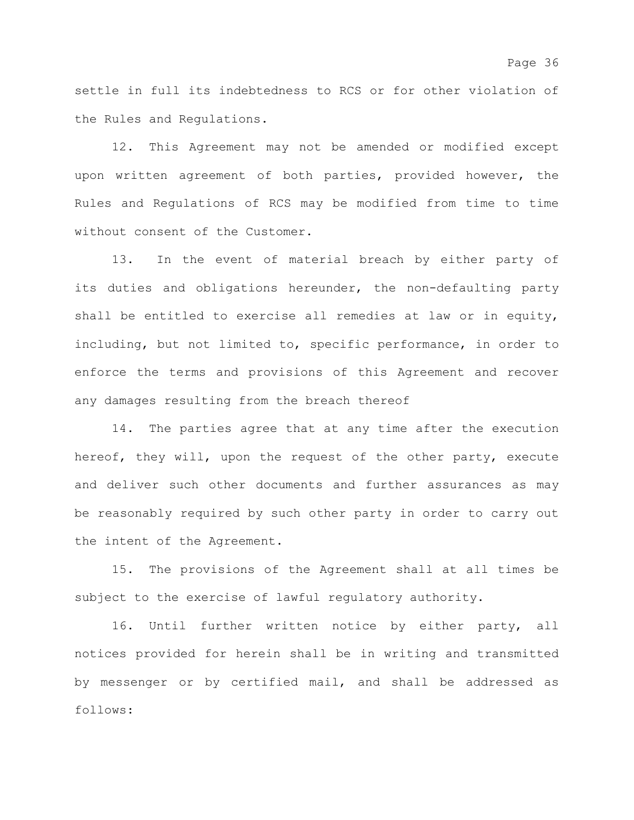settle in full its indebtedness to RCS or for other violation of the Rules and Regulations.

12. This Agreement may not be amended or modified except upon written agreement of both parties, provided however, the Rules and Regulations of RCS may be modified from time to time without consent of the Customer.

13. In the event of material breach by either party of its duties and obligations hereunder, the non-defaulting party shall be entitled to exercise all remedies at law or in equity, including, but not limited to, specific performance, in order to enforce the terms and provisions of this Agreement and recover any damages resulting from the breach thereof

14. The parties agree that at any time after the execution hereof, they will, upon the request of the other party, execute and deliver such other documents and further assurances as may be reasonably required by such other party in order to carry out the intent of the Agreement.

15. The provisions of the Agreement shall at all times be subject to the exercise of lawful regulatory authority.

16. Until further written notice by either party, all notices provided for herein shall be in writing and transmitted by messenger or by certified mail, and shall be addressed as follows: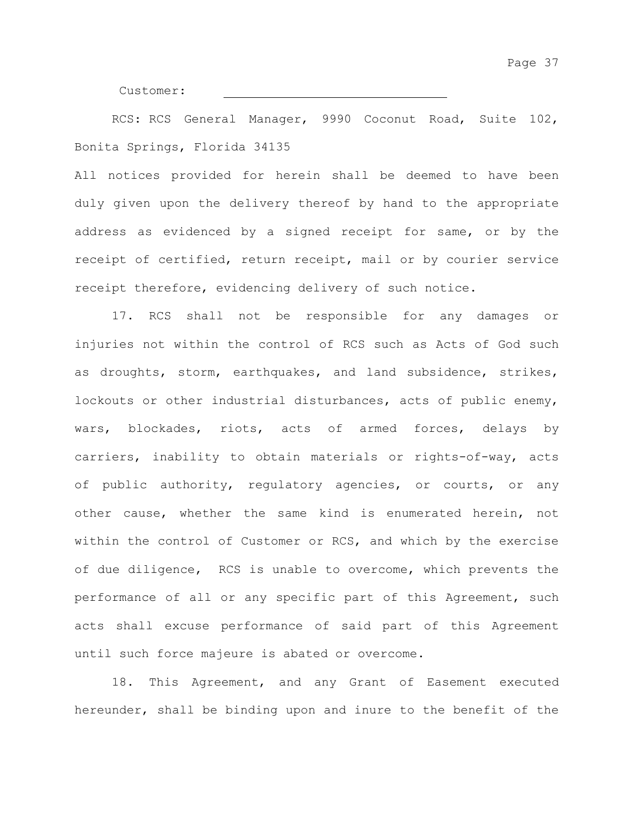Customer:

RCS: RCS General Manager, 9990 Coconut Road, Suite 102, Bonita Springs, Florida 34135

All notices provided for herein shall be deemed to have been duly given upon the delivery thereof by hand to the appropriate address as evidenced by a signed receipt for same, or by the receipt of certified, return receipt, mail or by courier service receipt therefore, evidencing delivery of such notice.

17. RCS shall not be responsible for any damages or injuries not within the control of RCS such as Acts of God such as droughts, storm, earthquakes, and land subsidence, strikes, lockouts or other industrial disturbances, acts of public enemy, wars, blockades, riots, acts of armed forces, delays by carriers, inability to obtain materials or rights-of-way, acts of public authority, regulatory agencies, or courts, or any other cause, whether the same kind is enumerated herein, not within the control of Customer or RCS, and which by the exercise of due diligence, RCS is unable to overcome, which prevents the performance of all or any specific part of this Agreement, such acts shall excuse performance of said part of this Agreement until such force majeure is abated or overcome.

18. This Agreement, and any Grant of Easement executed hereunder, shall be binding upon and inure to the benefit of the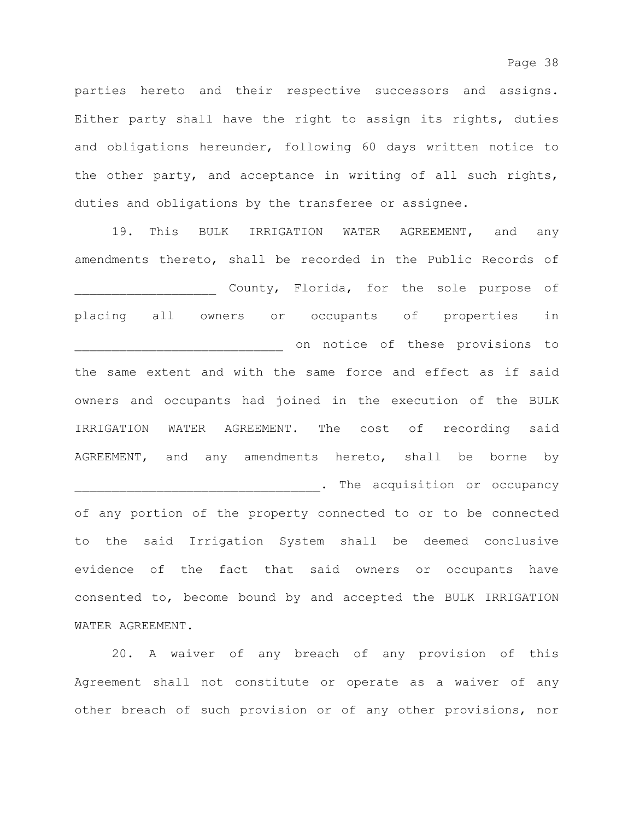parties hereto and their respective successors and assigns. Either party shall have the right to assign its rights, duties and obligations hereunder, following 60 days written notice to the other party, and acceptance in writing of all such rights, duties and obligations by the transferee or assignee.

19. This BULK IRRIGATION WATER AGREEMENT, and any amendments thereto, shall be recorded in the Public Records of \_\_\_\_\_\_\_\_\_\_\_\_\_\_\_\_\_\_\_ County, Florida, for the sole purpose of placing all owners or occupants of properties in \_\_\_\_\_\_\_\_\_\_\_\_\_\_\_\_\_\_\_\_\_\_\_\_\_\_\_\_ on notice of these provisions to the same extent and with the same force and effect as if said owners and occupants had joined in the execution of the BULK IRRIGATION WATER AGREEMENT. The cost of recording said AGREEMENT, and any amendments hereto, shall be borne by \_\_\_\_\_\_\_\_\_\_\_\_\_\_\_\_\_\_\_\_\_\_\_\_\_\_\_\_\_\_\_\_\_. The acquisition or occupancy of any portion of the property connected to or to be connected to the said Irrigation System shall be deemed conclusive evidence of the fact that said owners or occupants have consented to, become bound by and accepted the BULK IRRIGATION WATER AGREEMENT.

20. A waiver of any breach of any provision of this Agreement shall not constitute or operate as a waiver of any other breach of such provision or of any other provisions, nor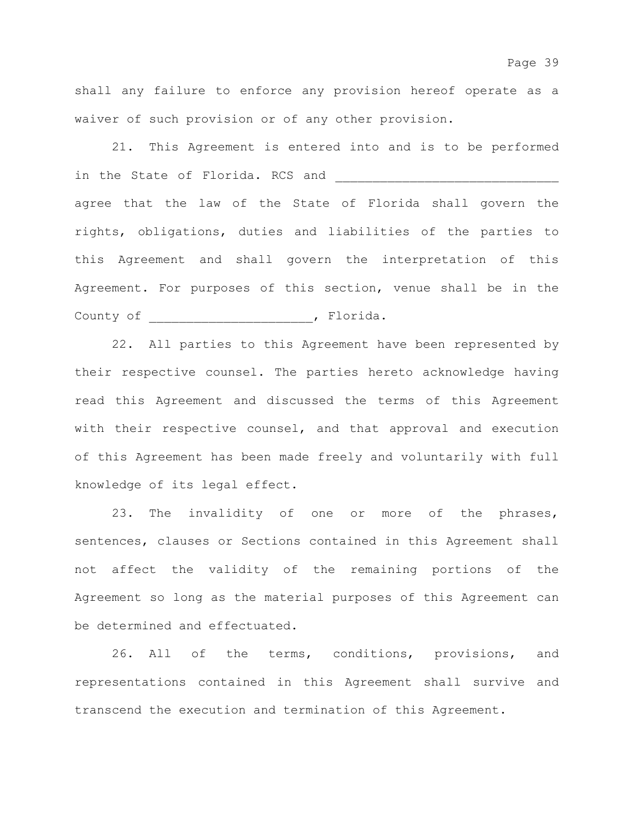shall any failure to enforce any provision hereof operate as a waiver of such provision or of any other provision.

21. This Agreement is entered into and is to be performed in the State of Florida. RCS and agree that the law of the State of Florida shall govern the rights, obligations, duties and liabilities of the parties to this Agreement and shall govern the interpretation of this Agreement. For purposes of this section, venue shall be in the County of \_\_\_\_\_\_\_\_\_\_\_\_\_\_\_\_\_\_\_\_\_\_, Florida.

22. All parties to this Agreement have been represented by their respective counsel. The parties hereto acknowledge having read this Agreement and discussed the terms of this Agreement with their respective counsel, and that approval and execution of this Agreement has been made freely and voluntarily with full knowledge of its legal effect.

23. The invalidity of one or more of the phrases, sentences, clauses or Sections contained in this Agreement shall not affect the validity of the remaining portions of the Agreement so long as the material purposes of this Agreement can be determined and effectuated.

26. All of the terms, conditions, provisions, and representations contained in this Agreement shall survive and transcend the execution and termination of this Agreement.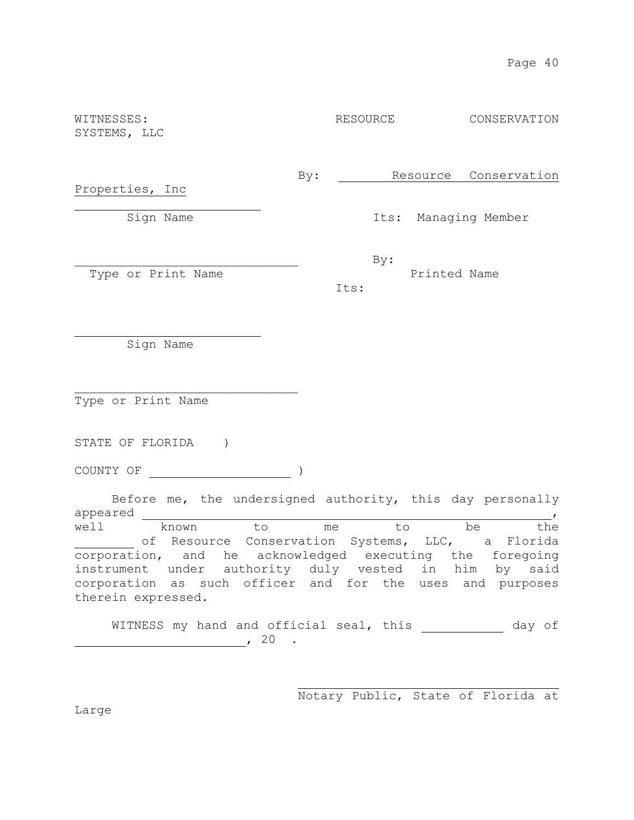| WITNESSES:<br>SYSTEMS, LLC                                            |     | RESOURCE |     |              |          | CONSERVATION          |  |
|-----------------------------------------------------------------------|-----|----------|-----|--------------|----------|-----------------------|--|
| Properties, Inc                                                       | By: |          |     |              |          | Resource Conservation |  |
| Sign Name                                                             |     |          |     |              |          | Its: Managing Member  |  |
| Type or Print Name                                                    |     | Its:     | By: | Printed Name |          |                       |  |
| Sign Name                                                             |     |          |     |              |          |                       |  |
| Type or Print Name                                                    |     |          |     |              |          |                       |  |
| STATE OF FLORIDA                                                      |     |          |     |              |          |                       |  |
| COUNTY OF                                                             |     |          |     |              |          |                       |  |
| Before me, the undersigned authority, this day personally<br>appeared |     |          |     |              |          |                       |  |
| $\frac{1}{2}$<br>$+\circ$ m                                           |     |          |     | $+\circ$     | $h \cap$ | $+ h \cap$            |  |

well known to me to be the of Resource Conservation Systems, LLC, a Florida corporation, and he acknowledged executing the foregoing instrument under authority duly vested in him by said corporation as such officer and for the uses and purposes therein expressed.

WITNESS my hand and official seal, this \_\_\_\_\_\_\_\_\_\_\_\_ day of  $\sim$  20  $\cdot$ 

Notary Public, State of Florida at

Large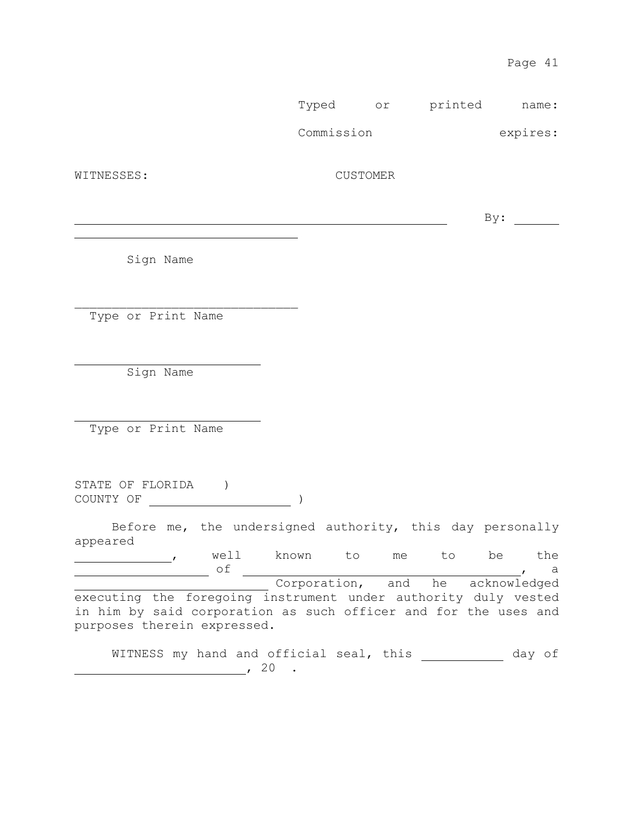Typed or printed name:

Commission expires:

WITNESSES: CUSTOMER

 $\mathbf{B} \mathbf{y}$ :

Sign Name

Type or Print Name

\_\_\_\_\_\_\_\_\_\_\_\_\_\_\_\_\_\_\_\_\_\_\_\_\_\_\_\_\_\_

Sign Name

Type or Print Name

STATE OF FLORIDA ) COUNTY OF )

Before me, the undersigned authority, this day personally appeared

 , well known to me to be the of , a Corporation, and he acknowledged executing the foregoing instrument under authority duly vested in him by said corporation as such officer and for the uses and purposes therein expressed.

WITNESS my hand and official seal, this will be an of ,  $20$  .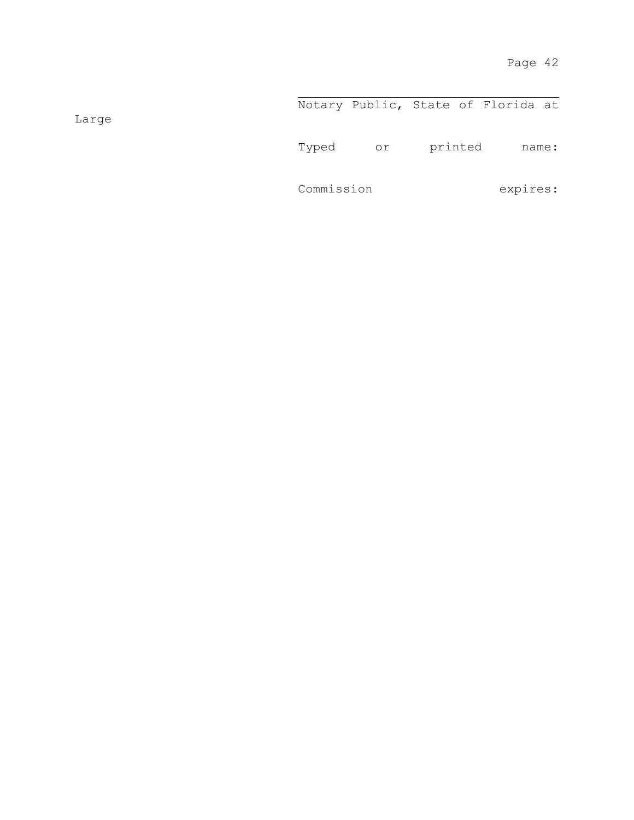Notary Public, State of Florida at Typed or printed name: Commission expires:

Large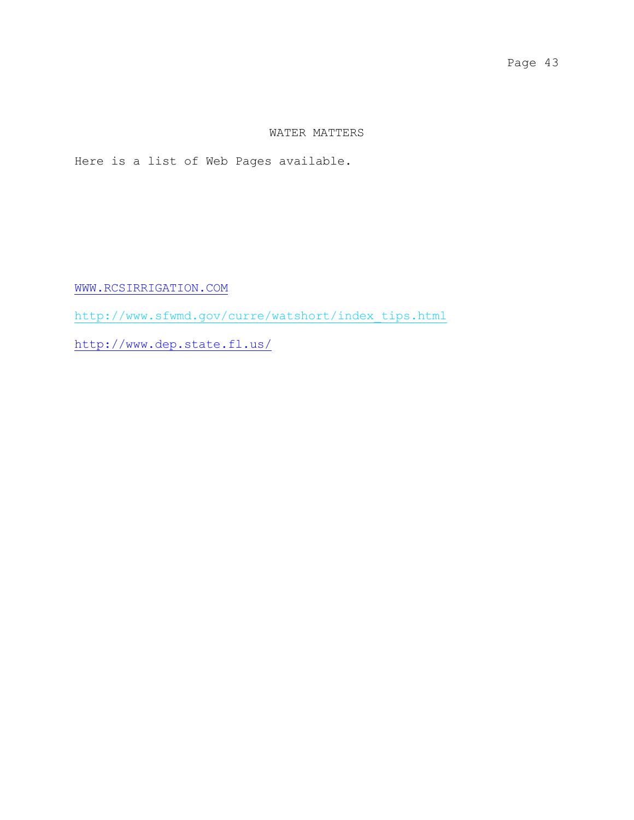## WATER MATTERS

Here is a list of Web Pages available.

[WWW.RCSIRRIGATION.COM](http://www.rcsirrigation.com/)

[http://www.sfwmd.gov/curre/watshort/index\\_tips.html](http://www.sfwmd.gov/curre/watshort/index_tips.html)

<http://www.dep.state.fl.us/>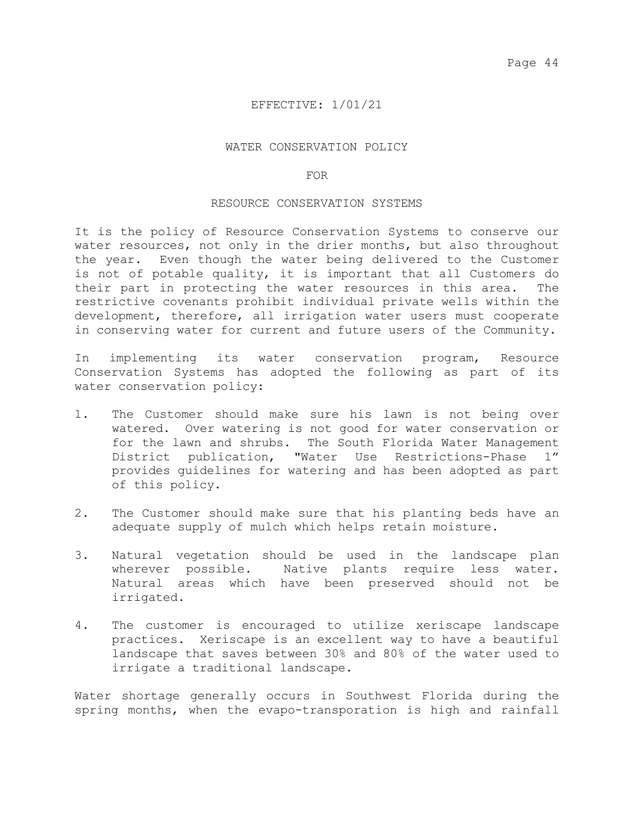## EFFECTIVE: 1/01/21

### WATER CONSERVATION POLICY

#### FOR

### RESOURCE CONSERVATION SYSTEMS

It is the policy of Resource Conservation Systems to conserve our water resources, not only in the drier months, but also throughout the year. Even though the water being delivered to the Customer is not of potable quality, it is important that all Customers do their part in protecting the water resources in this area. The restrictive covenants prohibit individual private wells within the development, therefore, all irrigation water users must cooperate in conserving water for current and future users of the Community.

In implementing its water conservation program, Resource Conservation Systems has adopted the following as part of its water conservation policy:

- 1. The Customer should make sure his lawn is not being over watered. Over watering is not good for water conservation or for the lawn and shrubs. The South Florida Water Management<br>District publication, "Water Use Restrictions-Phase 1" District publication, "Water Use Restrictions-Phase provides guidelines for watering and has been adopted as part of this policy.
- 2. The Customer should make sure that his planting beds have an adequate supply of mulch which helps retain moisture.
- 3. Natural vegetation should be used in the landscape plan wherever possible. Native plants require less water. Natural areas which have been preserved should not be irrigated.
- 4. The customer is encouraged to utilize xeriscape landscape practices. Xeriscape is an excellent way to have a beautiful landscape that saves between 30% and 80% of the water used to irrigate a traditional landscape.

Water shortage generally occurs in Southwest Florida during the spring months, when the evapo-transporation is high and rainfall